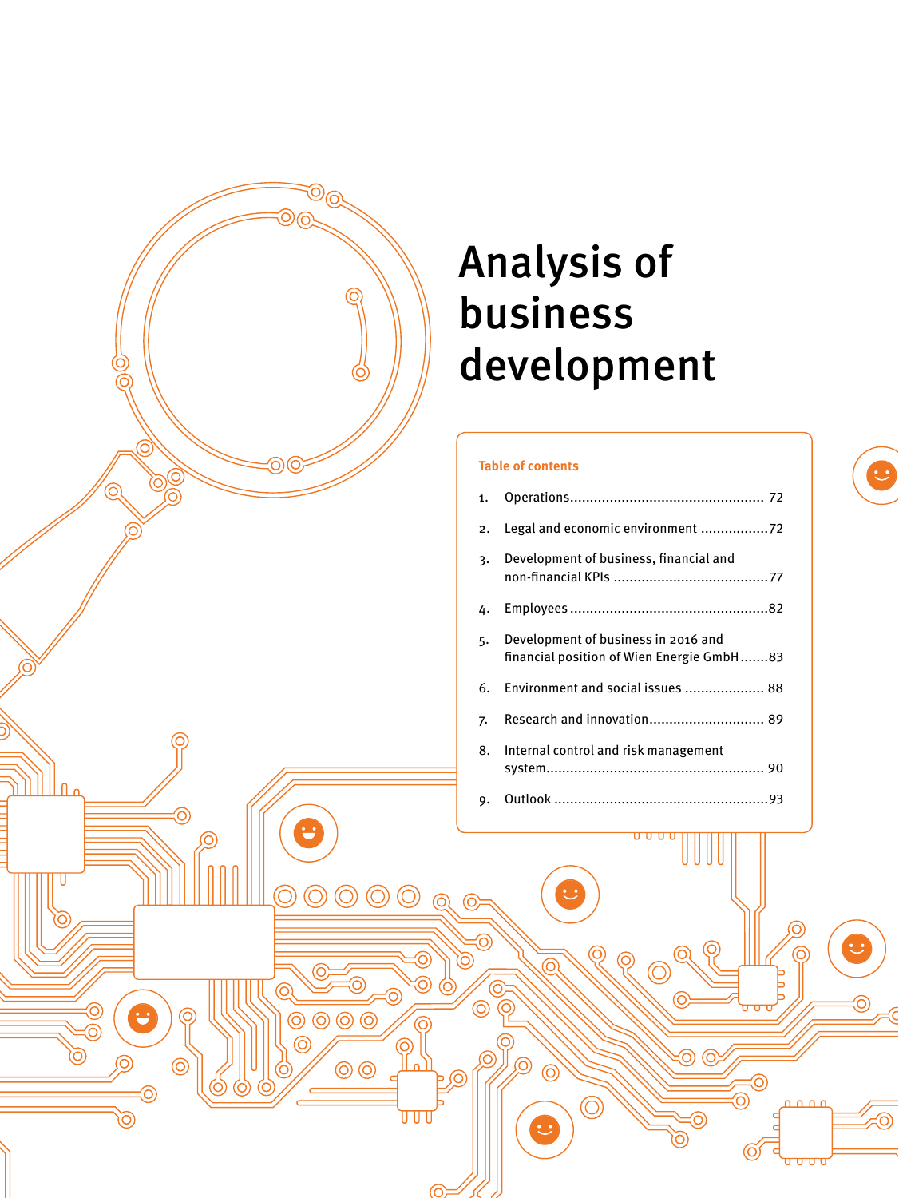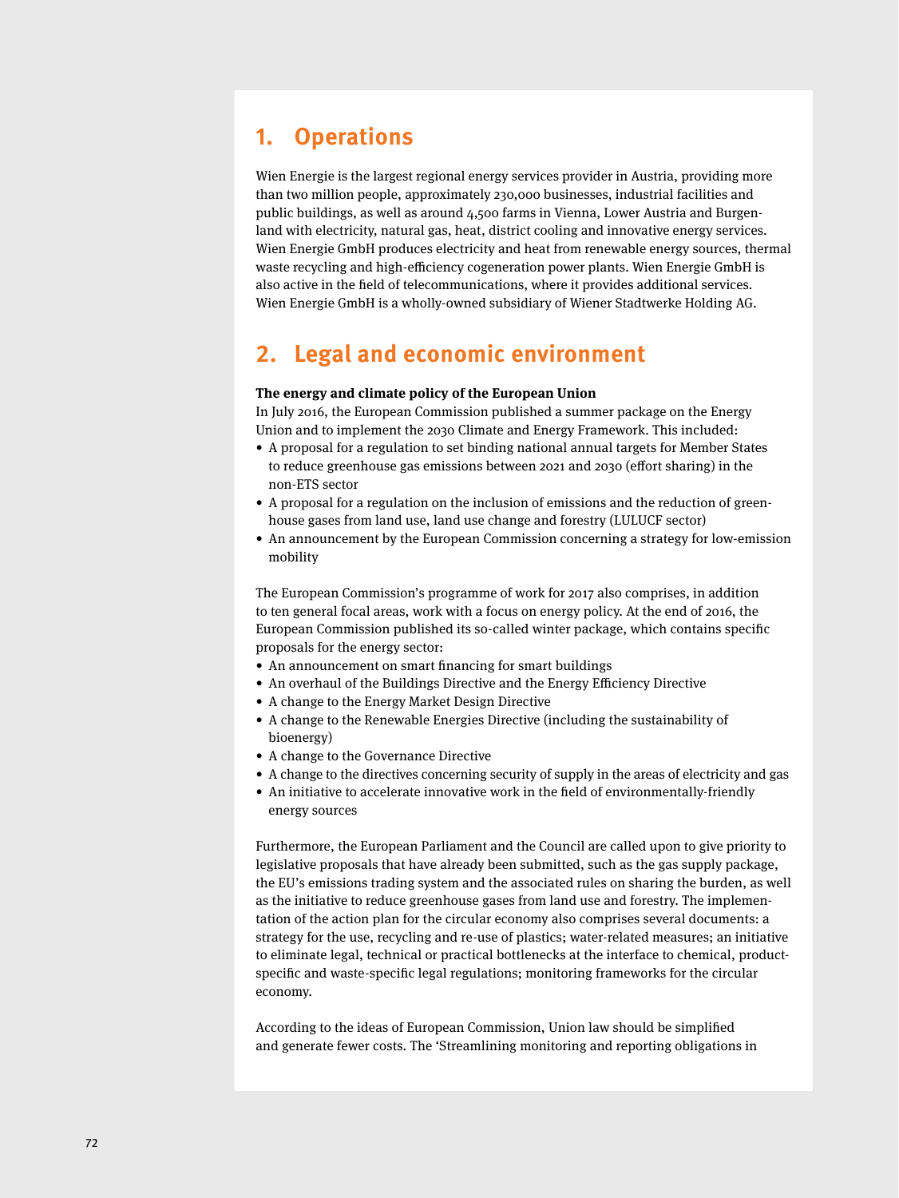## **1. Operations**

Wien Energie is the largest regional energy services provider in Austria, providing more than two million people, approximately 230,000 businesses, industrial facilities and public buildings, as well as around 4,500 farms in Vienna, Lower Austria and Burgenland with electricity, natural gas, heat, district cooling and innovative energy services. Wien Energie GmbH produces electricity and heat from renewable energy sources, thermal waste recycling and high-efficiency cogeneration power plants. Wien Energie GmbH is also active in the field of telecommunications, where it provides additional services. Wien Energie GmbH is a wholly-owned subsidiary of Wiener Stadtwerke Holding AG.

## **2. Legal and economic environment**

#### **The energy and climate policy of the European Union**

In July 2016, the European Commission published a summer package on the Energy Union and to implement the 2030 Climate and Energy Framework. This included:

- A proposal for a regulation to set binding national annual targets for Member States to reduce greenhouse gas emissions between 2021 and 2030 (effort sharing) in the non-ETS sector
- A proposal for a regulation on the inclusion of emissions and the reduction of greenhouse gases from land use, land use change and forestry (LULUCF sector)
- An announcement by the European Commission concerning a strategy for low-emission mobility

The European Commission's programme of work for 2017 also comprises, in addition to ten general focal areas, work with a focus on energy policy. At the end of 2016, the European Commission published its so-called winter package, which contains specific proposals for the energy sector:

- An announcement on smart financing for smart buildings
- An overhaul of the Buildings Directive and the Energy Efficiency Directive
- A change to the Energy Market Design Directive
- A change to the Renewable Energies Directive (including the sustainability of bioenergy)
- A change to the Governance Directive
- A change to the directives concerning security of supply in the areas of electricity and gas
- An initiative to accelerate innovative work in the field of environmentally-friendly energy sources

Furthermore, the European Parliament and the Council are called upon to give priority to legislative proposals that have already been submitted, such as the gas supply package, the EU's emissions trading system and the associated rules on sharing the burden, as well as the initiative to reduce greenhouse gases from land use and forestry. The implementation of the action plan for the circular economy also comprises several documents: a strategy for the use, recycling and re-use of plastics; water-related measures; an initiative to eliminate legal, technical or practical bottlenecks at the interface to chemical, productspecific and waste-specific legal regulations; monitoring frameworks for the circular economy.

According to the ideas of European Commission, Union law should be simplified and generate fewer costs. The 'Streamlining monitoring and reporting obligations in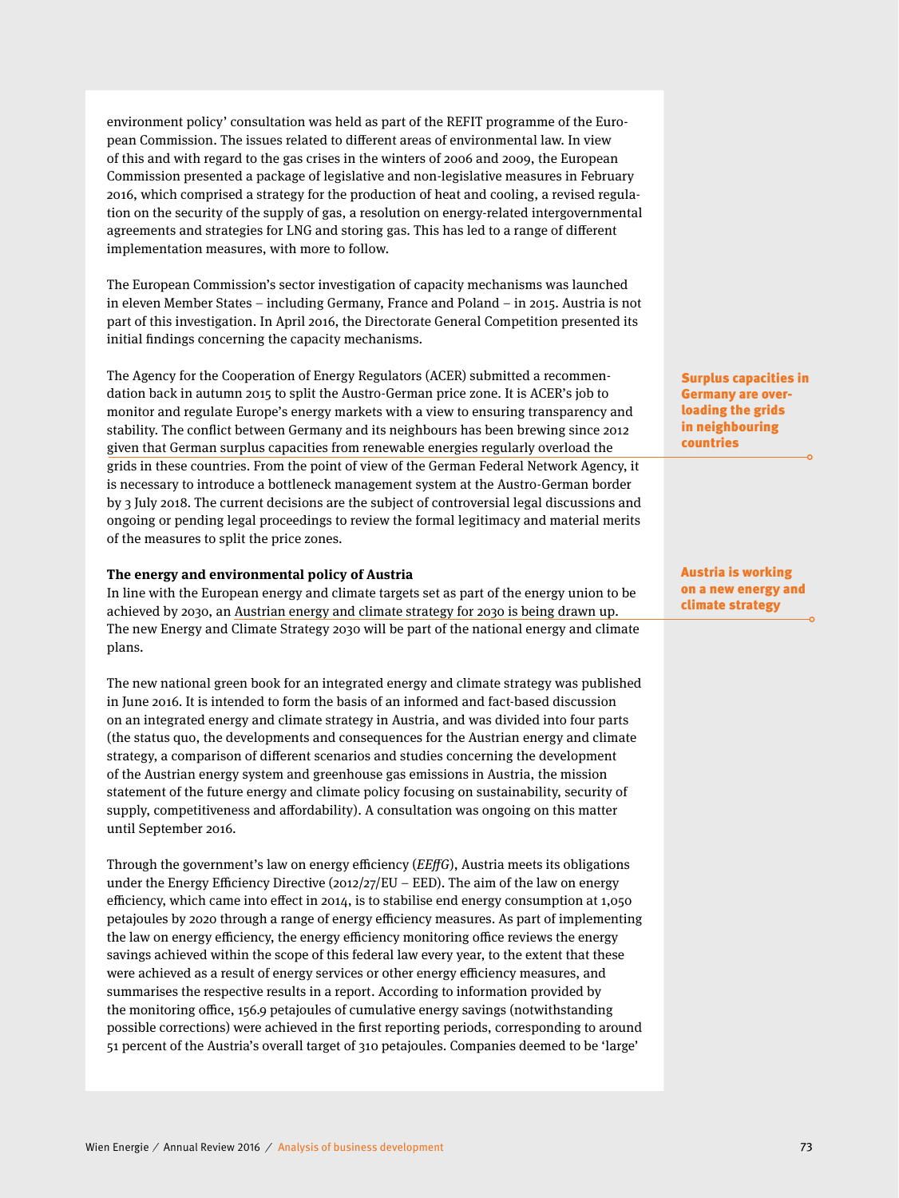environment policy' consultation was held as part of the REFIT programme of the European Commission. The issues related to different areas of environmental law. In view of this and with regard to the gas crises in the winters of 2006 and 2009, the European Commission presented a package of legislative and non-legislative measures in February 2016, which comprised a strategy for the production of heat and cooling, a revised regulation on the security of the supply of gas, a resolution on energy-related intergovernmental agreements and strategies for LNG and storing gas. This has led to a range of different implementation measures, with more to follow.

The European Commission's sector investigation of capacity mechanisms was launched in eleven Member States – including Germany, France and Poland – in 2015. Austria is not part of this investigation. In April 2016, the Directorate General Competition presented its initial findings concerning the capacity mechanisms.

The Agency for the Cooperation of Energy Regulators (ACER) submitted a recommendation back in autumn 2015 to split the Austro-German price zone. It is ACER's job to monitor and regulate Europe's energy markets with a view to ensuring transparency and stability. The conflict between Germany and its neighbours has been brewing since 2012 given that German surplus capacities from renewable energies regularly overload the grids in these countries. From the point of view of the German Federal Network Agency, it is necessary to introduce a bottleneck management system at the Austro-German border by 3 July 2018. The current decisions are the subject of controversial legal discussions and ongoing or pending legal proceedings to review the formal legitimacy and material merits of the measures to split the price zones.

#### **The energy and environmental policy of Austria**

In line with the European energy and climate targets set as part of the energy union to be achieved by 2030, an Austrian energy and climate strategy for 2030 is being drawn up. The new Energy and Climate Strategy 2030 will be part of the national energy and climate plans.

The new national green book for an integrated energy and climate strategy was published in June 2016. It is intended to form the basis of an informed and fact-based discussion on an integrated energy and climate strategy in Austria, and was divided into four parts (the status quo, the developments and consequences for the Austrian energy and climate strategy, a comparison of different scenarios and studies concerning the development of the Austrian energy system and greenhouse gas emissions in Austria, the mission statement of the future energy and climate policy focusing on sustainability, security of supply, competitiveness and affordability). A consultation was ongoing on this matter until September 2016.

Through the government's law on energy efficiency ( $EEffG$ ), Austria meets its obligations under the Energy Efficiency Directive (2012/27/EU – EED). The aim of the law on energy efficiency, which came into effect in 2014, is to stabilise end energy consumption at 1,050 petajoules by 2020 through a range of energy efficiency measures. As part of implementing the law on energy efficiency, the energy efficiency monitoring office reviews the energy savings achieved within the scope of this federal law every year, to the extent that these were achieved as a result of energy services or other energy efficiency measures, and summarises the respective results in a report. According to information provided by the monitoring office, 156.9 petajoules of cumulative energy savings (notwithstanding possible corrections) were achieved in the first reporting periods, corresponding to around 51 percent of the Austria's overall target of 310 petajoules. Companies deemed to be 'large'

Surplus capacities in Germany are overloading the grids in neighbouring countries

Austria is working on a new energy and climate strategy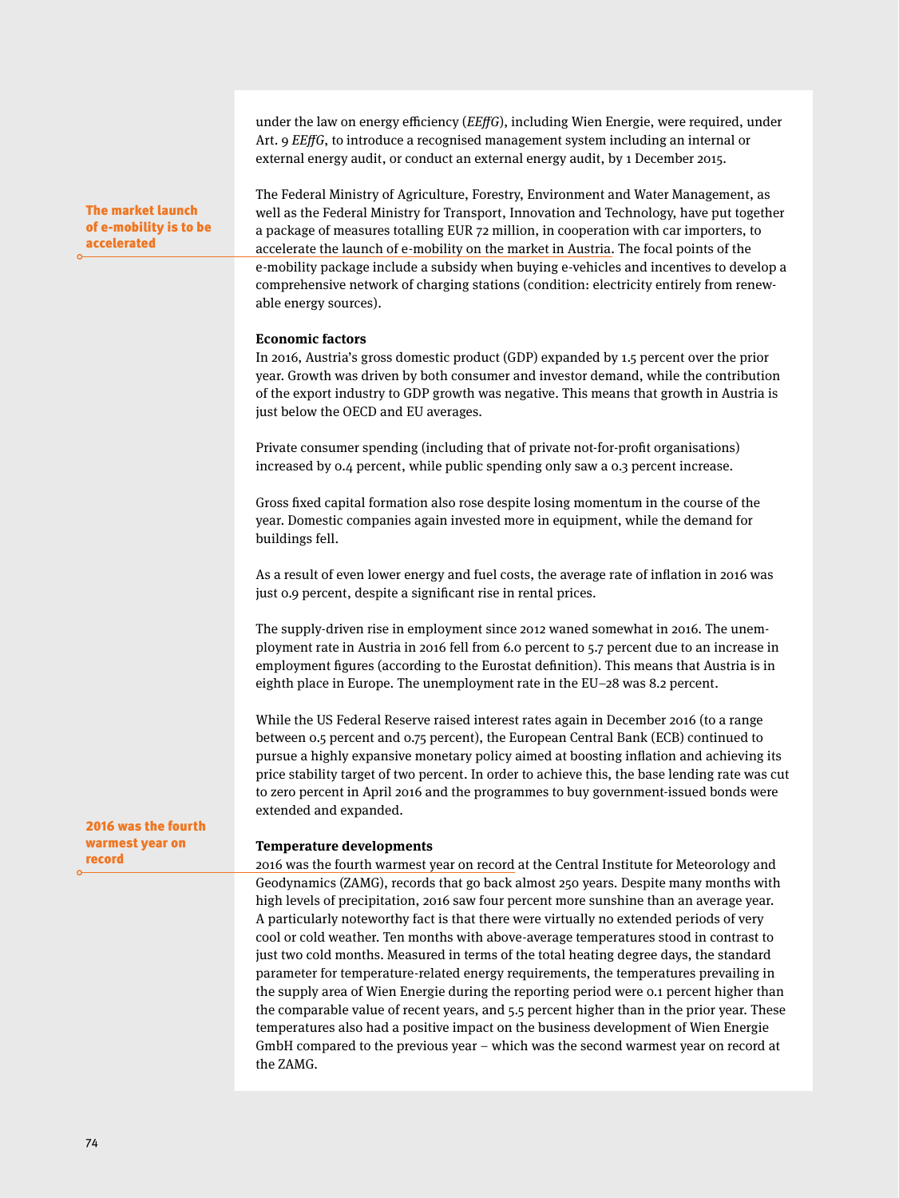under the law on energy efficiency ( $EEffG$ ), including Wien Energie, were required, under Art. 9 *EEffG*, to introduce a recognised management system including an internal or external energy audit, or conduct an external energy audit, by 1 December 2015.

The Federal Ministry of Agriculture, Forestry, Environment and Water Management, as well as the Federal Ministry for Transport, Innovation and Technology, have put together a package of measures totalling EUR 72 million, in cooperation with car importers, to accelerate the launch of e-mobility on the market in Austria. The focal points of the e-mobility package include a subsidy when buying e-vehicles and incentives to develop a comprehensive network of charging stations (condition: electricity entirely from renewable energy sources).

#### **Economic factors**

In 2016, Austria's gross domestic product (GDP) expanded by 1.5 percent over the prior year. Growth was driven by both consumer and investor demand, while the contribution of the export industry to GDP growth was negative. This means that growth in Austria is just below the OECD and EU averages.

Private consumer spending (including that of private not-for-profit organisations) increased by 0.4 percent, while public spending only saw a 0.3 percent increase.

Gross fixed capital formation also rose despite losing momentum in the course of the year. Domestic companies again invested more in equipment, while the demand for buildings fell.

As a result of even lower energy and fuel costs, the average rate of inflation in 2016 was just 0.9 percent, despite a significant rise in rental prices.

The supply-driven rise in employment since 2012 waned somewhat in 2016. The unemployment rate in Austria in 2016 fell from 6.0 percent to 5.7 percent due to an increase in employment figures (according to the Eurostat definition). This means that Austria is in eighth place in Europe. The unemployment rate in the EU–28 was 8.2 percent.

While the US Federal Reserve raised interest rates again in December 2016 (to a range between 0.5 percent and 0.75 percent), the European Central Bank (ECB) continued to pursue a highly expansive monetary policy aimed at boosting inflation and achieving its price stability target of two percent. In order to achieve this, the base lending rate was cut to zero percent in April 2016 and the programmes to buy government-issued bonds were extended and expanded.

2016 was the fourth warmest year on record

The market launch of e-mobility is to be

accelerated

#### **Temperature developments**

2016 was the fourth warmest year on record at the Central Institute for Meteorology and Geodynamics (ZAMG), records that go back almost 250 years. Despite many months with high levels of precipitation, 2016 saw four percent more sunshine than an average year. A particularly noteworthy fact is that there were virtually no extended periods of very cool or cold weather. Ten months with above-average temperatures stood in contrast to just two cold months. Measured in terms of the total heating degree days, the standard parameter for temperature-related energy requirements, the temperatures prevailing in the supply area of Wien Energie during the reporting period were 0.1 percent higher than the comparable value of recent years, and 5.5 percent higher than in the prior year. These temperatures also had a positive impact on the business development of Wien Energie GmbH compared to the previous year – which was the second warmest year on record at the ZAMG.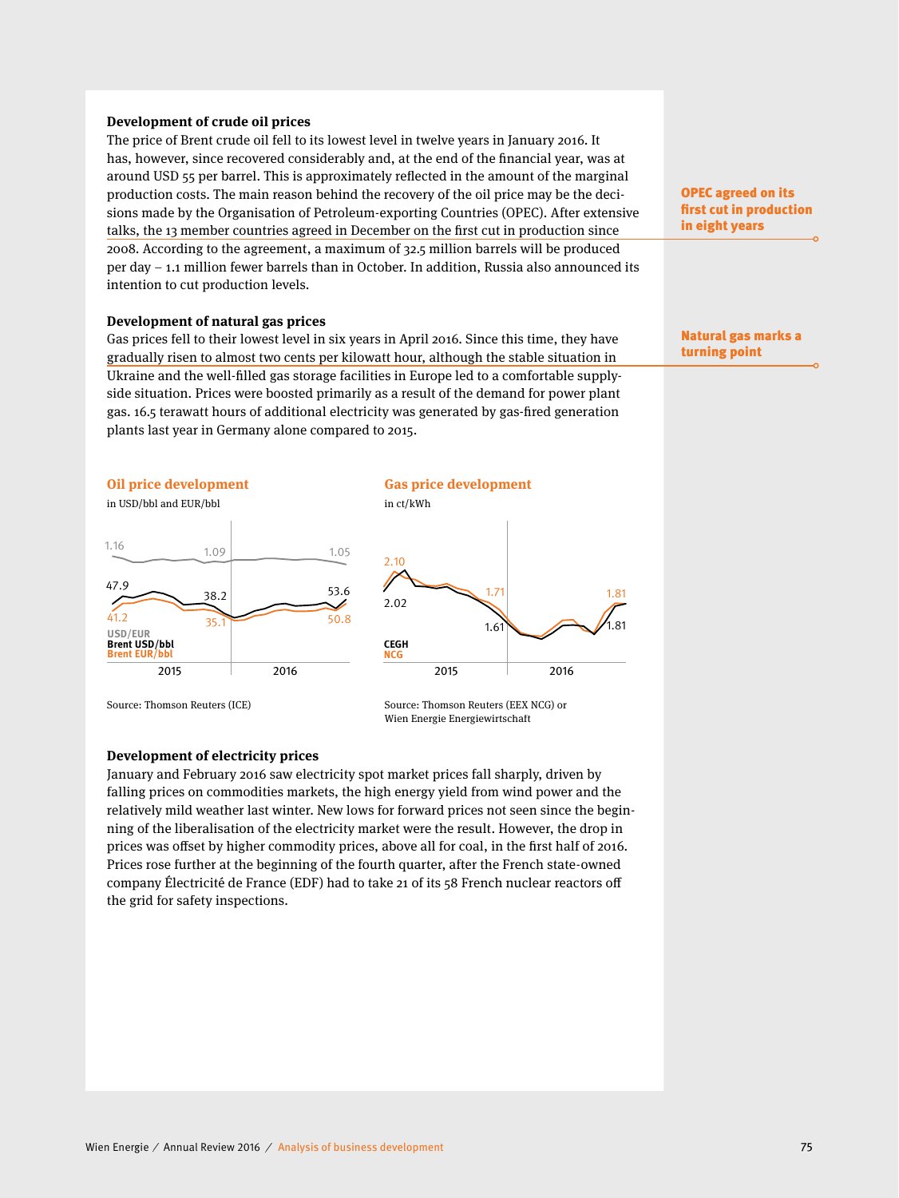#### **Development of crude oil prices**

The price of Brent crude oil fell to its lowest level in twelve years in January 2016. It has, however, since recovered considerably and, at the end of the financial year, was at around USD 55 per barrel. This is approximately reflected in the amount of the marginal production costs. The main reason behind the recovery of the oil price may be the decisions made by the Organisation of Petroleum-exporting Countries (OPEC). After extensive talks, the 13 member countries agreed in December on the first cut in production since 2008. According to the agreement, a maximum of 32.5 million barrels will be produced per day – 1.1 million fewer barrels than in October. In addition, Russia also announced its intention to cut production levels.

#### **Development of natural gas prices**

Gas prices fell to their lowest level in six years in April 2016. Since this time, they have gradually risen to almost two cents per kilowatt hour, although the stable situation in Ukraine and the well-filled gas storage facilities in Europe led to a comfortable supplyside situation. Prices were boosted primarily as a result of the demand for power plant gas. 16.5 terawatt hours of additional electricity was generated by gas-fired generation plants last year in Germany alone compared to 2015.



in USD/bbl and EUR/bbl in ct/kWh





Wien Energie Energiewirtschaft



Source: Thomson Reuters (ICE) Source: Thomson Reuters (EEX NCG) or

#### **Development of electricity prices**

January and February 2016 saw electricity spot market prices fall sharply, driven by falling prices on commodities markets, the high energy yield from wind power and the relatively mild weather last winter. New lows for forward prices not seen since the beginning of the liberalisation of the electricity market were the result. However, the drop in prices was offset by higher commodity prices, above all for coal, in the first half of 2016. Prices rose further at the beginning of the fourth quarter, after the French state-owned company Électricité de France (EDF) had to take 21 of its 58 French nuclear reactors off the grid for safety inspections.

OPEC agreed on its first cut in production in eight years

Natural gas marks a turning point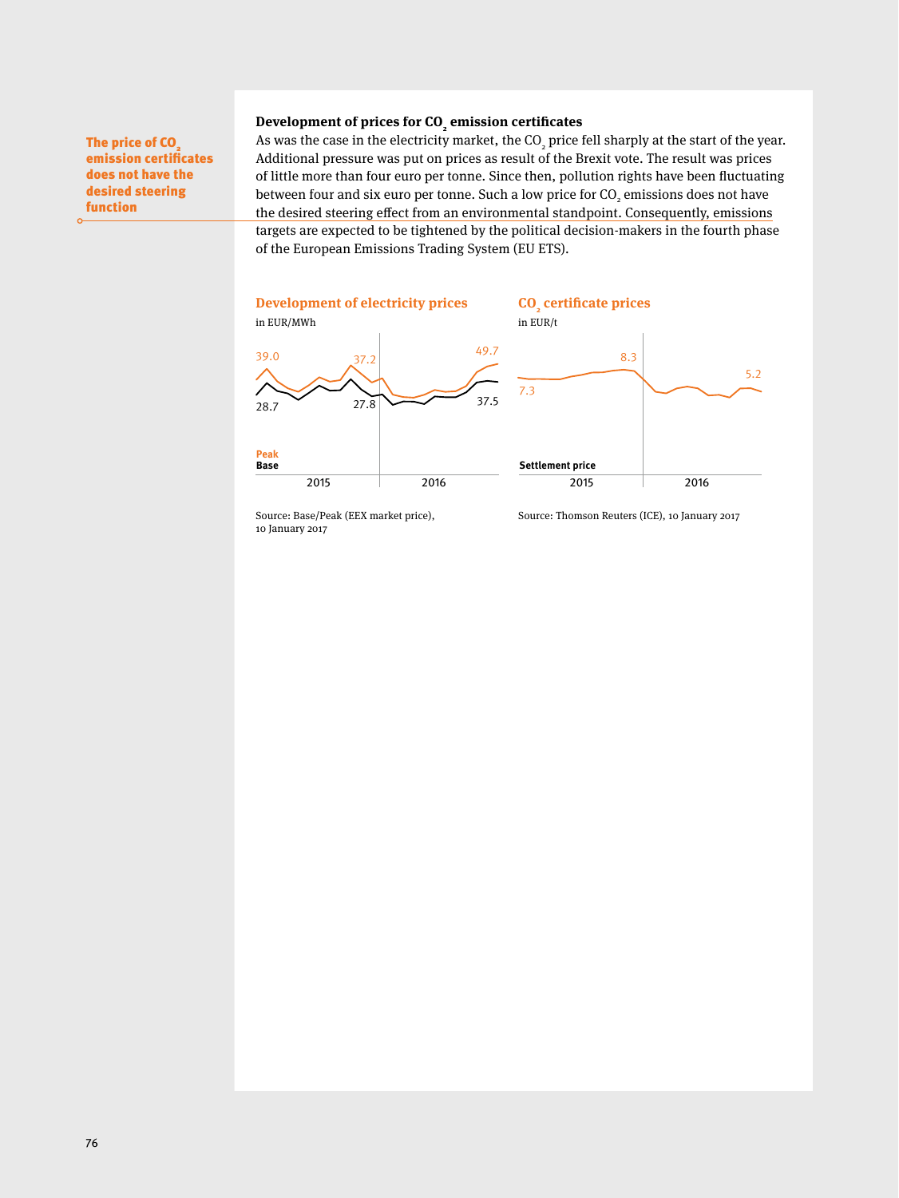#### Development of prices for CO<sub>2</sub> emission certificates

The price of CO<sub>2</sub> emission certificates does not have the desired steering function

As was the case in the electricity market, the  $\mathrm{CO}_2$  price fell sharply at the start of the year. Additional pressure was put on prices as result of the Brexit vote. The result was prices of little more than four euro per tonne. Since then, pollution rights have been fluctuating between four and six euro per tonne. Such a low price for CO<sub>2</sub> emissions does not have the desired steering effect from an environmental standpoint. Consequently, emissions targets are expected to be tightened by the political decision-makers in the fourth phase of the European Emissions Trading System (EU ETS).



10 January 2017

Source: Base/Peak (EEX market price), Source: Thomson Reuters (ICE), 10 January 2017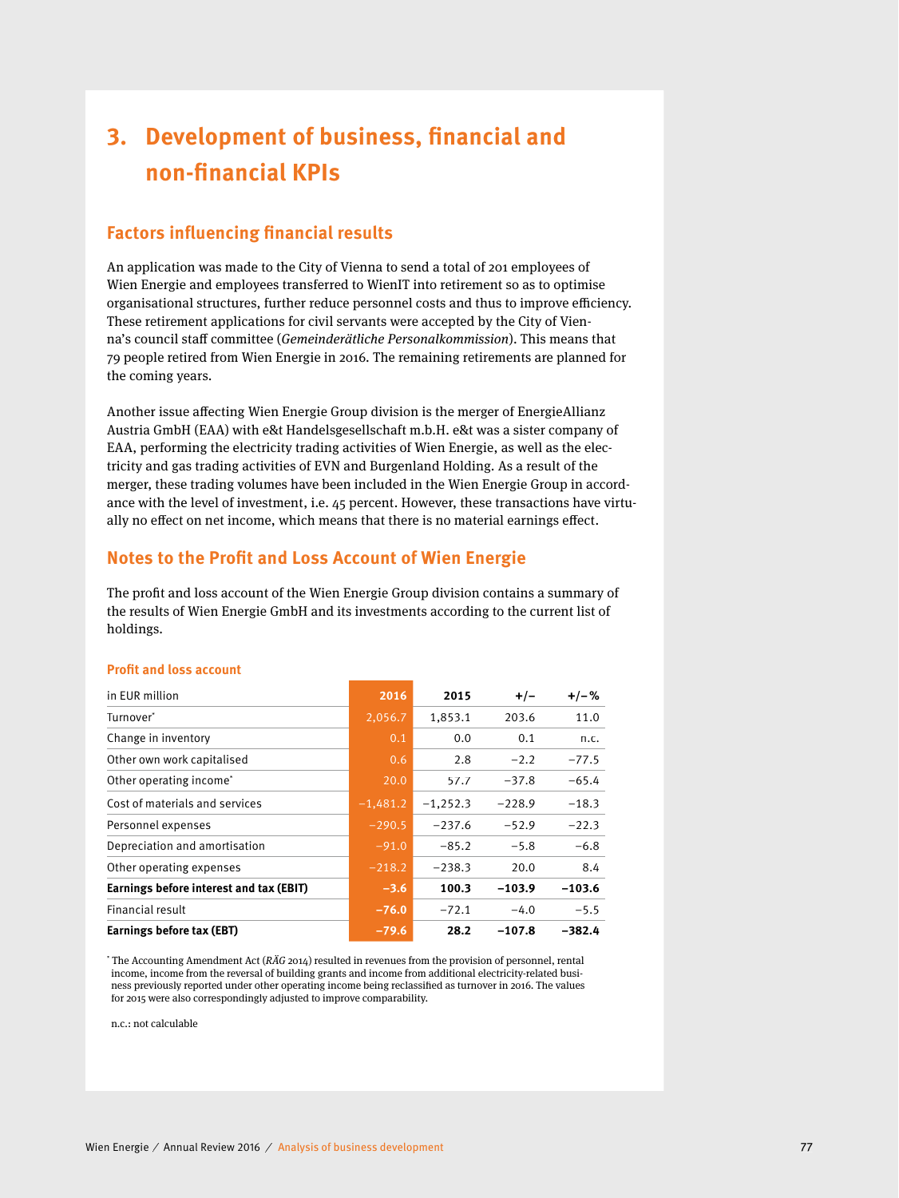# **3. Development of business, financial and non-fi nancial KPIs**

### **Factors influencing financial results**

An application was made to the City of Vienna to send a total of 201 employees of Wien Energie and employees transferred to WienIT into retirement so as to optimise organisational structures, further reduce personnel costs and thus to improve efficiency. These retirement applications for civil servants were accepted by the City of Vienna's council staff committee (Gemeinderätliche Personalkommission). This means that 79 people retired from Wien Energie in 2016. The remaining retirements are planned for the coming years.

Another issue affecting Wien Energie Group division is the merger of EnergieAllianz Austria GmbH (EAA) with e&t Handelsgesellschaft m.b.H. e&t was a sister company of EAA, performing the electricity trading activities of Wien Energie, as well as the electricity and gas trading activities of EVN and Burgenland Holding. As a result of the merger, these trading volumes have been included in the Wien Energie Group in accordance with the level of investment, i.e. 45 percent. However, these transactions have virtually no effect on net income, which means that there is no material earnings effect.

### **Notes to the Profit and Loss Account of Wien Energie**

The profit and loss account of the Wien Energie Group division contains a summary of the results of Wien Energie GmbH and its investments according to the current list of holdings.

| in EUR million                          | 2016       | 2015       | $+/-$    | $+/-%$   |
|-----------------------------------------|------------|------------|----------|----------|
| Turnover*                               | 2,056.7    | 1,853.1    | 203.6    | 11.0     |
| Change in inventory                     | 0.1        | 0.0        | 0.1      | n.c.     |
| Other own work capitalised              | 0.6        | 2.8        | $-2.2$   | $-77.5$  |
| Other operating income <sup>*</sup>     | 20.0       | 57.7       | $-37.8$  | $-65.4$  |
| Cost of materials and services          | $-1,481.2$ | $-1,252.3$ | $-228.9$ | $-18.3$  |
| Personnel expenses                      | $-290.5$   | $-237.6$   | $-52.9$  | $-22.3$  |
| Depreciation and amortisation           | $-91.0$    | $-85.2$    | $-5.8$   | $-6.8$   |
| Other operating expenses                | $-218.2$   | $-238.3$   | 20.0     | 8.4      |
| Earnings before interest and tax (EBIT) | $-3.6$     | 100.3      | $-103.9$ | $-103.6$ |
| Financial result                        | $-76.0$    | $-72.1$    | $-4.0$   | $-5.5$   |
| Earnings before tax (EBT)               | $-79.6$    | 28.2       | $-107.8$ | $-382.4$ |

#### **Profit and loss account**

\* The Accounting Amendment Act (RÄG 2014) resulted in revenues from the provision of personnel, rental income, income from the reversal of building grants and income from additional electricity-related business previously reported under other operating income being reclassified as turnover in 2016. The values for 2015 were also correspondingly adjusted to improve comparability.

n.c.: not calculable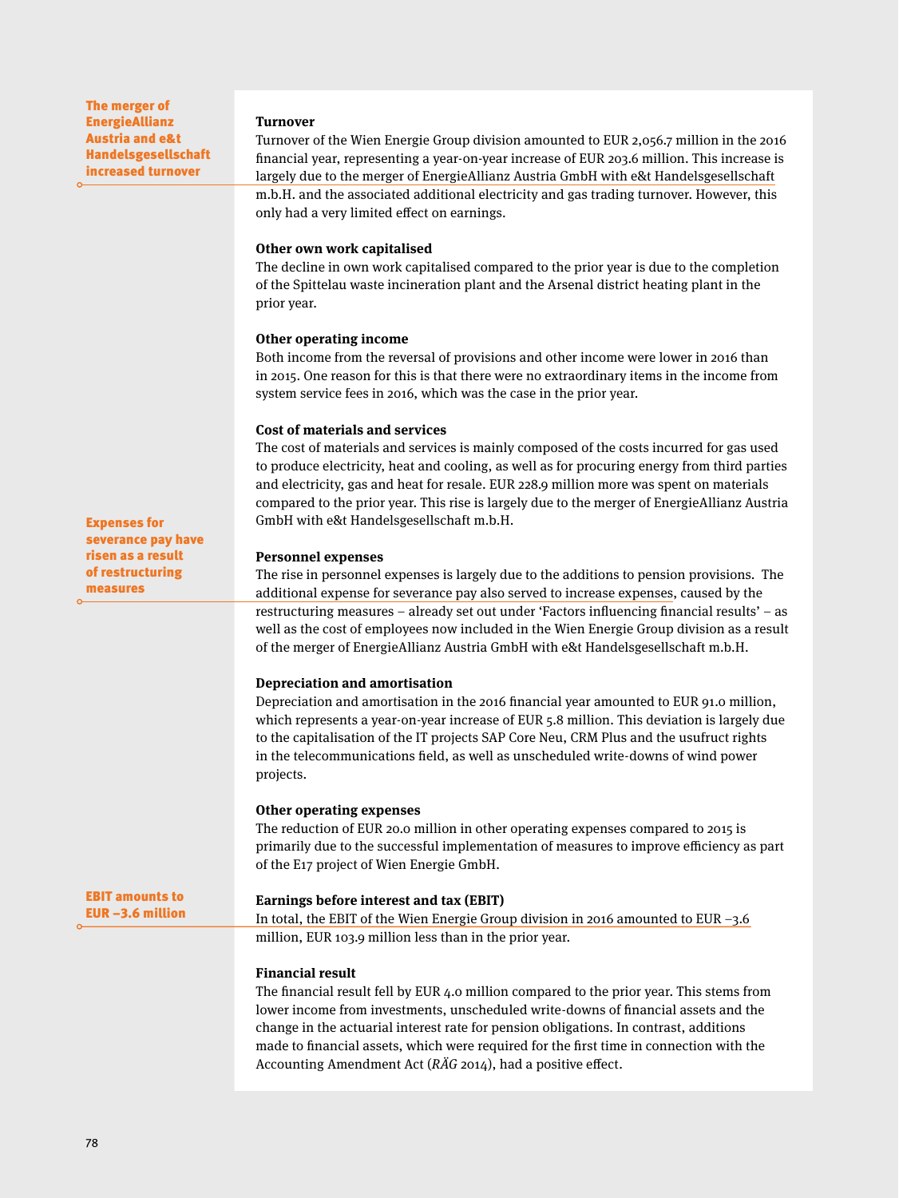The merger of EnergieAllianz Austria and e&t Handelsgesellschaft increased turnover

#### **Turnover**

Turnover of the Wien Energie Group division amounted to EUR 2,056.7 million in the 2016 financial year, representing a year-on-year increase of EUR 203.6 million. This increase is largely due to the merger of EnergieAllianz Austria GmbH with e&t Handelsgesellschaft m.b.H. and the associated additional electricity and gas trading turnover. However, this only had a very limited effect on earnings.

#### **Other own work capitalised**

The decline in own work capitalised compared to the prior year is due to the completion of the Spittelau waste incineration plant and the Arsenal district heating plant in the prior year.

#### **Other operating income**

Both income from the reversal of provisions and other income were lower in 2016 than in 2015. One reason for this is that there were no extraordinary items in the income from system service fees in 2016, which was the case in the prior year.

#### **Cost of materials and services**

The cost of materials and services is mainly composed of the costs incurred for gas used to produce electricity, heat and cooling, as well as for procuring energy from third parties and electricity, gas and heat for resale. EUR 228.9 million more was spent on materials compared to the prior year. This rise is largely due to the merger of EnergieAllianz Austria GmbH with e&t Handelsgesellschaft m.b.H.

#### **Personnel expenses**

The rise in personnel expenses is largely due to the additions to pension provisions. The additional expense for severance pay also served to increase expenses, caused by the restructuring measures – already set out under 'Factors influencing financial results' – as well as the cost of employees now included in the Wien Energie Group division as a result of the merger of EnergieAllianz Austria GmbH with e&t Handelsgesellschaft m.b.H.

#### **Depreciation and amortisation**

Depreciation and amortisation in the 2016 financial year amounted to EUR 91.0 million, which represents a year-on-year increase of EUR 5.8 million. This deviation is largely due to the capitalisation of the IT projects SAP Core Neu, CRM Plus and the usufruct rights in the telecommunications field, as well as unscheduled write-downs of wind power projects.

#### **Other operating expenses**

The reduction of EUR 20.0 million in other operating expenses compared to 2015 is primarily due to the successful implementation of measures to improve efficiency as part of the E17 project of Wien Energie GmbH.

#### **Earnings before interest and tax (EBIT)**

In total, the EBIT of the Wien Energie Group division in 2016 amounted to EUR –3.6 million, EUR 103.9 million less than in the prior year.

#### **Financial result**

The financial result fell by EUR 4.0 million compared to the prior year. This stems from lower income from investments, unscheduled write-downs of financial assets and the change in the actuarial interest rate for pension obligations. In contrast, additions made to financial assets, which were required for the first time in connection with the Accounting Amendment Act ( $R\ddot{A}G$  2014), had a positive effect.

Expenses for severance pay have risen as a result of restructuring measures

EBIT amounts to EUR –3.6 million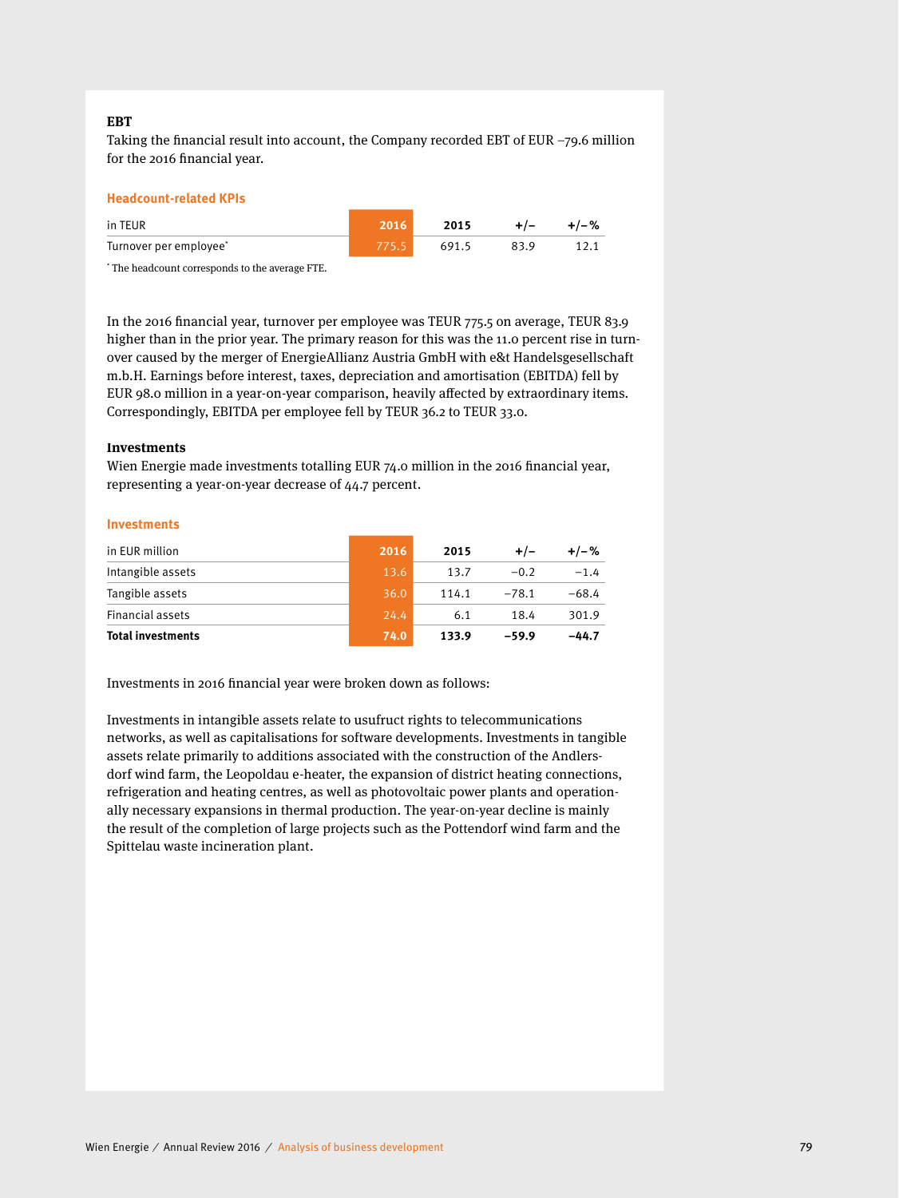#### **EBT**

Taking the financial result into account, the Company recorded EBT of EUR  $-79.6$  million for the 2016 financial year.

#### **Headcount-related KPIs**

| in TEUR                | 2016  | 2015  | $+/-$ | $+/-\%$ |
|------------------------|-------|-------|-------|---------|
| Turnover per employee* | 775.5 | 691.5 | 83.9  |         |

\* The headcount corresponds to the average FTE.

In the 2016 financial year, turnover per employee was TEUR 775.5 on average, TEUR 83.9 higher than in the prior year. The primary reason for this was the 11.0 percent rise in turnover caused by the merger of EnergieAllianz Austria GmbH with e&t Handelsgesellschaft m.b.H. Earnings before interest, taxes, depreciation and amortisation (EBITDA) fell by EUR 98.0 million in a year-on-year comparison, heavily affected by extraordinary items. Correspondingly, EBITDA per employee fell by TEUR 36.2 to TEUR 33.0.

#### **Investments**

Wien Energie made investments totalling EUR 74.0 million in the 2016 financial year, representing a year-on-year decrease of 44.7 percent.

#### **Investments**

| in EUR million           | 2016 | 2015  | $+/-$   | $+/-%$  |
|--------------------------|------|-------|---------|---------|
| Intangible assets        | 13.6 | 13.7  | $-0.2$  | $-1.4$  |
| Tangible assets          | 36.0 | 114.1 | $-78.1$ | $-68.4$ |
| Financial assets         | 24.4 | 6.1   | 18.4    | 301.9   |
| <b>Total investments</b> | 74.0 | 133.9 | $-59.9$ | $-44.7$ |

Investments in 2016 financial year were broken down as follows:

Investments in intangible assets relate to usufruct rights to telecommunications networks, as well as capitalisations for software developments. Investments in tangible assets relate primarily to additions associated with the construction of the Andlersdorf wind farm, the Leopoldau e-heater, the expansion of district heating connections, refrigeration and heating centres, as well as photovoltaic power plants and operationally necessary expansions in thermal production. The year-on-year decline is mainly the result of the completion of large projects such as the Pottendorf wind farm and the Spittelau waste incineration plant.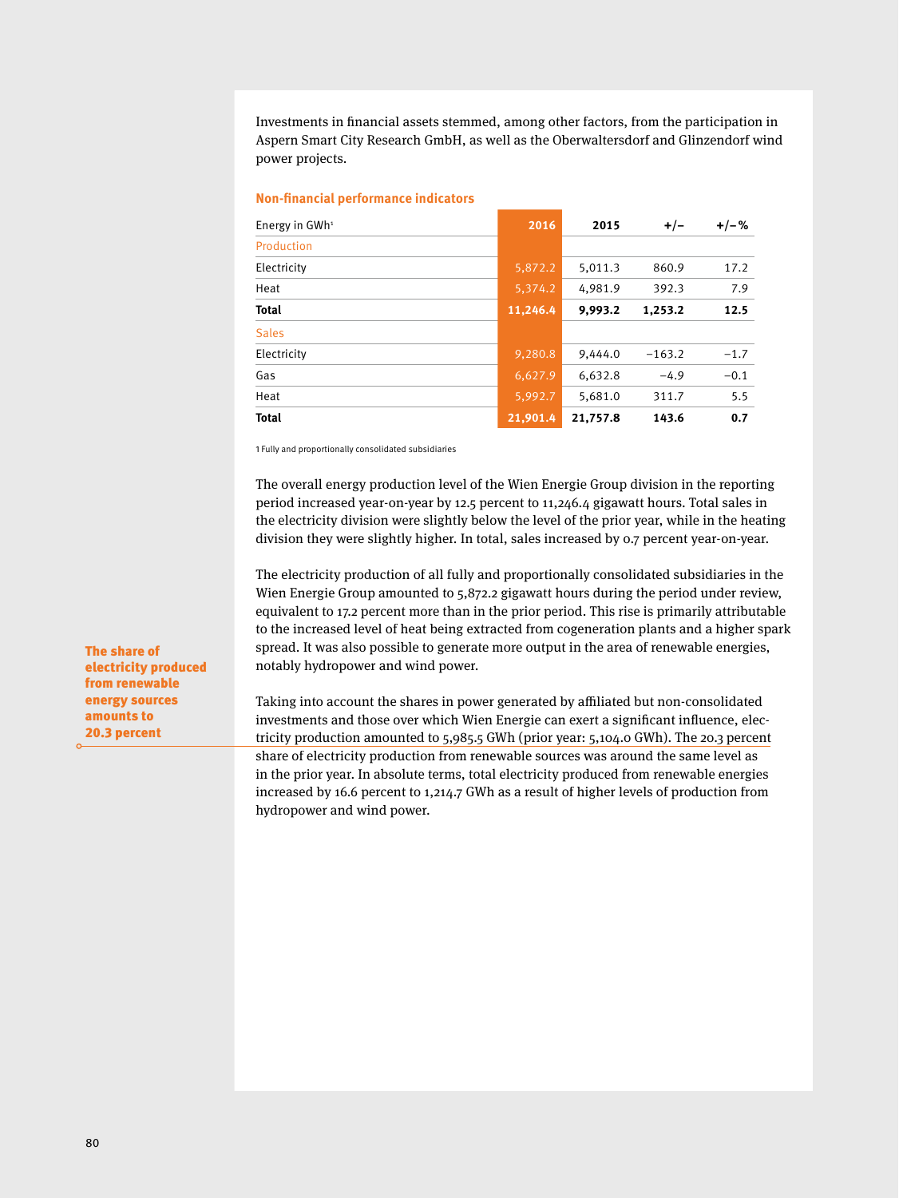Investments in financial assets stemmed, among other factors, from the participation in Aspern Smart City Research GmbH, as well as the Oberwaltersdorf and Glinzendorf wind power projects.

| Non-financial performance indicators |  |  |
|--------------------------------------|--|--|
|--------------------------------------|--|--|

| Energy in $GWh^1$ | 2016     | 2015     | $+/-$    | $+/-%$ |
|-------------------|----------|----------|----------|--------|
| Production        |          |          |          |        |
| Electricity       | 5,872.2  | 5,011.3  | 860.9    | 17.2   |
| Heat              | 5,374.2  | 4,981.9  | 392.3    | 7.9    |
| <b>Total</b>      | 11,246.4 | 9,993.2  | 1,253.2  | 12.5   |
| <b>Sales</b>      |          |          |          |        |
| Electricity       | 9,280.8  | 9,444.0  | $-163.2$ | $-1.7$ |
| Gas               | 6,627.9  | 6,632.8  | $-4.9$   | $-0.1$ |
| Heat              | 5,992.7  | 5,681.0  | 311.7    | 5.5    |
| <b>Total</b>      | 21,901.4 | 21,757.8 | 143.6    | 0.7    |

1 Fully and proportionally consolidated subsidiaries

The overall energy production level of the Wien Energie Group division in the reporting period increased year-on-year by 12.5 percent to 11,246.4 gigawatt hours. Total sales in the electricity division were slightly below the level of the prior year, while in the heating division they were slightly higher. In total, sales increased by 0.7 percent year-on-year.

The electricity production of all fully and proportionally consolidated subsidiaries in the Wien Energie Group amounted to 5,872.2 gigawatt hours during the period under review, equivalent to 17.2 percent more than in the prior period. This rise is primarily attributable to the increased level of heat being extracted from cogeneration plants and a higher spark spread. It was also possible to generate more output in the area of renewable energies, notably hydropower and wind power.

Taking into account the shares in power generated by affiliated but non-consolidated investments and those over which Wien Energie can exert a significant influence, electricity production amounted to 5,985.5 GWh (prior year: 5,104.0 GWh). The 20.3 percent share of electricity production from renewable sources was around the same level as in the prior year. In absolute terms, total electricity produced from renewable energies increased by 16.6 percent to 1,214.7 GWh as a result of higher levels of production from hydropower and wind power.

The share of electricity produced from renewable energy sources amounts to 20.3 percent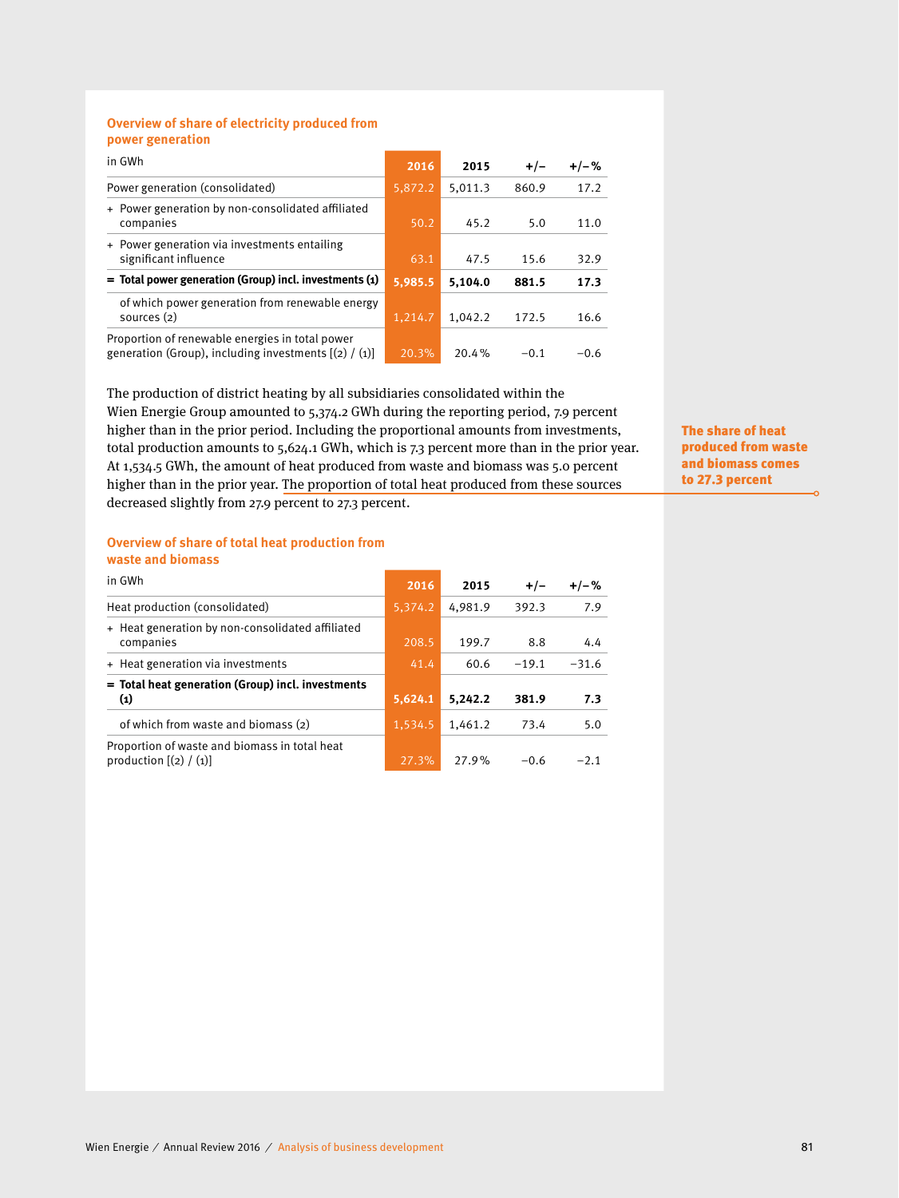#### **Overview of share of electricity produced from power generation**

| in GWh                                                                                                     | 2016    | 2015    | $+/-$  | $+/-%$ |
|------------------------------------------------------------------------------------------------------------|---------|---------|--------|--------|
| Power generation (consolidated)                                                                            | 5,872.2 | 5,011.3 | 860.9  | 17.2   |
| + Power generation by non-consolidated affiliated<br>companies                                             | 50.2    | 45.2    | 5.0    | 11.0   |
| + Power generation via investments entailing<br>significant influence                                      | 63.1    | 47.5    | 15.6   | 32.9   |
| $=$ Total power generation (Group) incl. investments (1)                                                   | 5,985.5 | 5.104.0 | 881.5  | 17.3   |
| of which power generation from renewable energy<br>sources $(2)$                                           | 1,214.7 | 1,042.2 | 172.5  | 16.6   |
| Proportion of renewable energies in total power<br>generation (Group), including investments $[(2) / (1)]$ | 20.3%   | 20.4%   | $-0.1$ | $-0.6$ |

The production of district heating by all subsidiaries consolidated within the Wien Energie Group amounted to 5,374.2 GWh during the reporting period, 7.9 percent higher than in the prior period. Including the proportional amounts from investments, total production amounts to 5,624.1 GWh, which is 7.3 percent more than in the prior year. At 1,534.5 GWh, the amount of heat produced from waste and biomass was 5.0 percent higher than in the prior year. The proportion of total heat produced from these sources decreased slightly from 27.9 percent to 27.3 percent.

The share of heat produced from waste and biomass comes to 27.3 percent

#### **Overview of share of total heat production from waste and biomass**

| in GWh                                                                    | 2016    | 2015    | $+/-$   | $+/-%$  |
|---------------------------------------------------------------------------|---------|---------|---------|---------|
| Heat production (consolidated)                                            | 5,374.2 | 4.981.9 | 392.3   | 7.9     |
| + Heat generation by non-consolidated affiliated<br>companies             | 208.5   | 199.7   | 8.8     | 4.4     |
| + Heat generation via investments                                         | 41.4    | 60.6    | $-19.1$ | $-31.6$ |
| = Total heat generation (Group) incl. investments<br>$\bf{(1)}$           | 5,624.1 | 5.242.2 | 381.9   | 7.3     |
| of which from waste and biomass (2)                                       | 1,534.5 | 1.461.2 | 73.4    | 5.0     |
| Proportion of waste and biomass in total heat<br>production $[(2) / (1)]$ | 27.3%   | 27.9%   | $-0.6$  | $-2.1$  |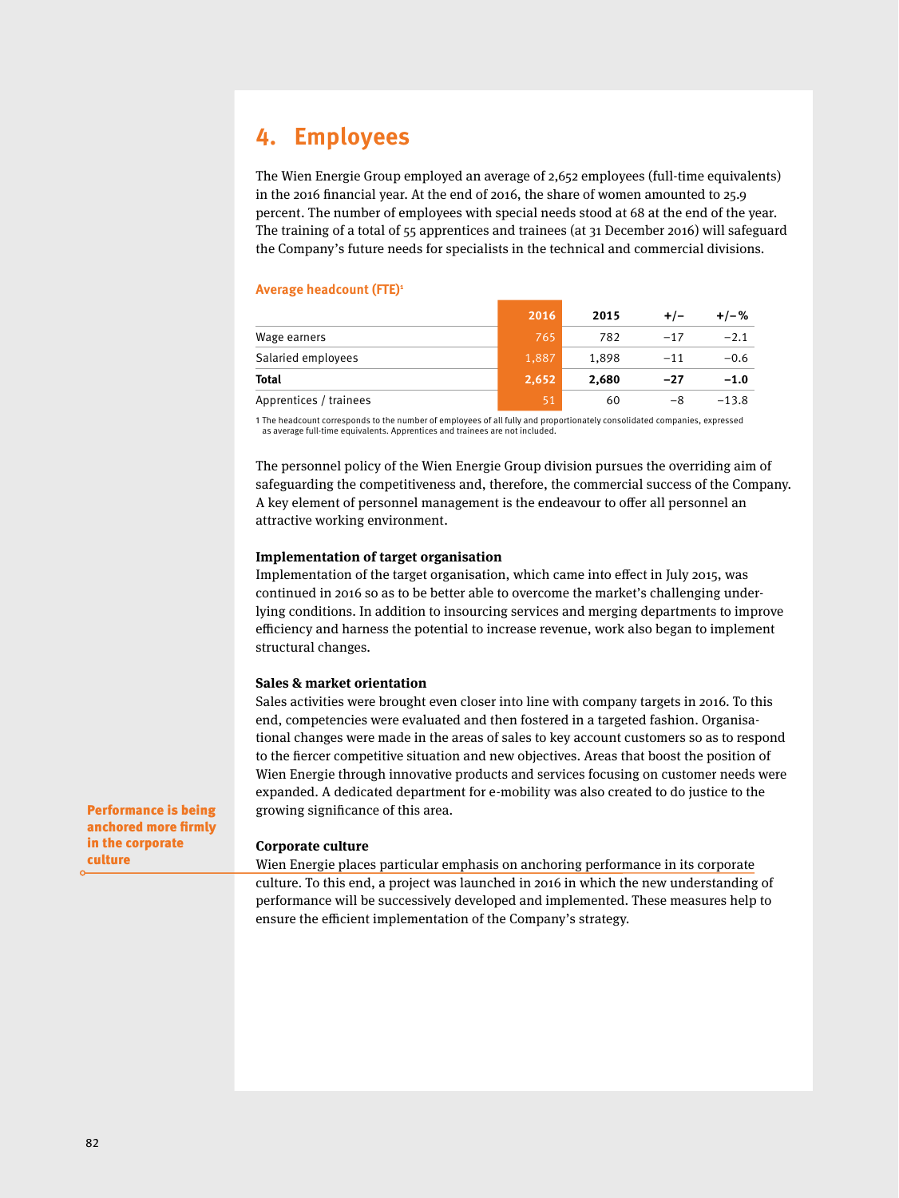## **4. Employees**

The Wien Energie Group employed an average of 2,652 employees (full-time equivalents) in the 2016 financial year. At the end of 2016, the share of women amounted to 25.9 percent. The number of employees with special needs stood at 68 at the end of the year. The training of a total of 55 apprentices and trainees (at 31 December 2016) will safeguard the Company's future needs for specialists in the technical and commercial divisions.

#### **Average headcount (FTE)1**

|                        | 2016  | 2015  |       | +/-%    |
|------------------------|-------|-------|-------|---------|
| Wage earners           | 765   | 782   | $-17$ | $-2.1$  |
| Salaried employees     | 1,887 | 1,898 | $-11$ | $-0.6$  |
| Total                  | 2,652 | 2.680 | -27   | $-1.0$  |
| Apprentices / trainees | 51    | 60    | -8    | $-13.8$ |

1 The headcount corresponds to the number of employees of all fully and proportionately consolidated companies, expressed as average full-time equivalents. Apprentices and trainees are not included.

The personnel policy of the Wien Energie Group division pursues the overriding aim of safeguarding the competitiveness and, therefore, the commercial success of the Company. A key element of personnel management is the endeavour to offer all personnel an attractive working environment.

#### **Implementation of target organisation**

Implementation of the target organisation, which came into effect in July 2015, was continued in 2016 so as to be better able to overcome the market's challenging underlying conditions. In addition to insourcing services and merging departments to improve efficiency and harness the potential to increase revenue, work also began to implement structural changes.

#### **Sales & market orientation**

Sales activities were brought even closer into line with company targets in 2016. To this end, competencies were evaluated and then fostered in a targeted fashion. Organisational changes were made in the areas of sales to key account customers so as to respond to the fiercer competitive situation and new objectives. Areas that boost the position of Wien Energie through innovative products and services focusing on customer needs were expanded. A dedicated department for e-mobility was also created to do justice to the growing significance of this area.

Performance is being anchored more firmly in the corporate culture

#### **Corporate culture**

Wien Energie places particular emphasis on anchoring performance in its corporate culture. To this end, a project was launched in 2016 in which the new understanding of performance will be successively developed and implemented. These measures help to ensure the efficient implementation of the Company's strategy.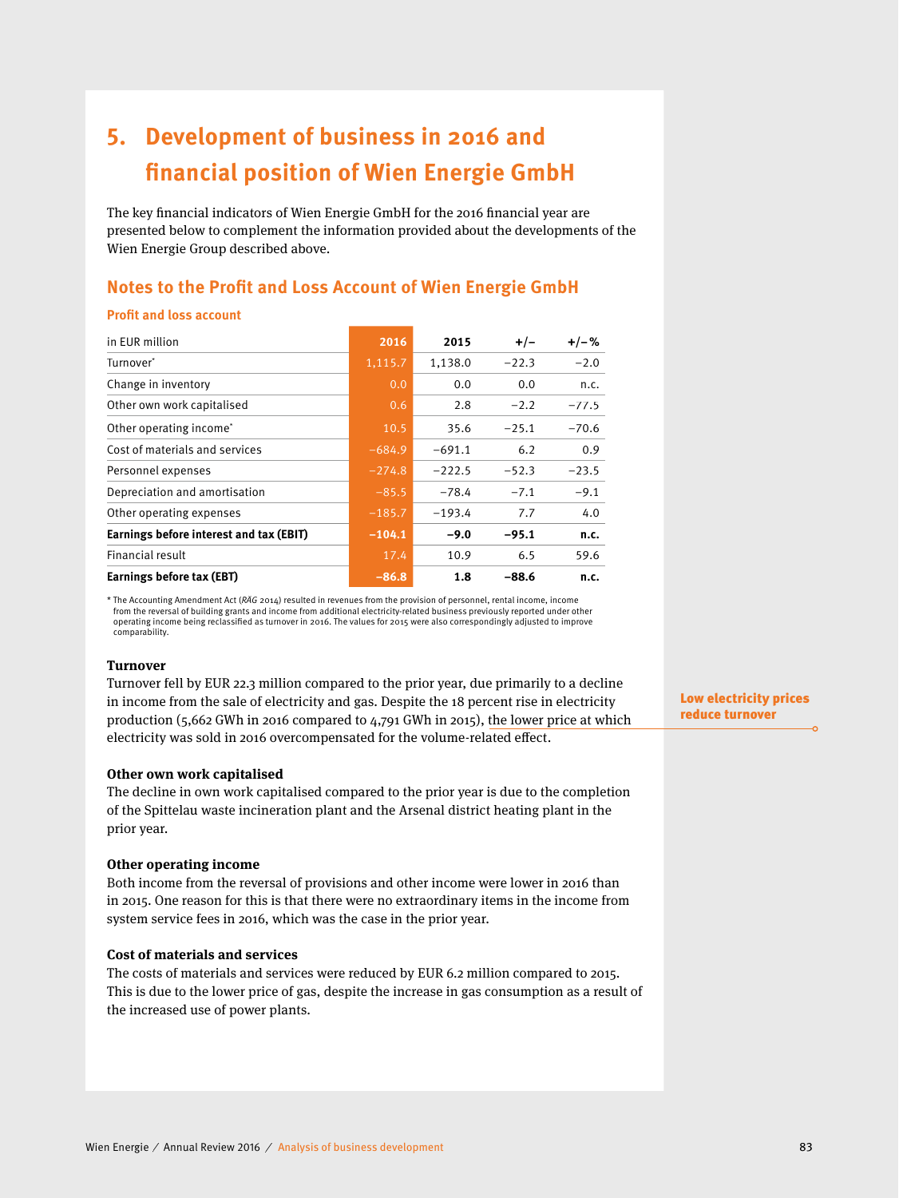# **5. Development of business in 2016 and financial position of Wien Energie GmbH**

The key financial indicators of Wien Energie GmbH for the 2016 financial year are presented below to complement the information provided about the developments of the Wien Energie Group described above.

### **Notes to the Profit and Loss Account of Wien Energie GmbH**

#### **Profit and loss account**

| in EUR million                          | 2016     | 2015     | $+/-$   | $+/-%$  |
|-----------------------------------------|----------|----------|---------|---------|
| Turnover*                               | 1,115.7  | 1,138.0  | $-22.3$ | $-2.0$  |
| Change in inventory                     | 0.0      | 0.0      | 0.0     | n.c.    |
| Other own work capitalised              | 0.6      | 2.8      | $-2.2$  | $-77.5$ |
| Other operating income*                 | 10.5     | 35.6     | $-25.1$ | $-70.6$ |
| Cost of materials and services          | $-684.9$ | $-691.1$ | 6.2     | 0.9     |
| Personnel expenses                      | $-274.8$ | $-222.5$ | $-52.3$ | $-23.5$ |
| Depreciation and amortisation           | $-85.5$  | $-78.4$  | $-7.1$  | $-9.1$  |
| Other operating expenses                | $-185.7$ | $-193.4$ | 7.7     | 4.0     |
| Earnings before interest and tax (EBIT) | $-104.1$ | $-9.0$   | $-95.1$ | n.c.    |
| Financial result                        | 17.4     | 10.9     | 6.5     | 59.6    |
| Earnings before tax (EBT)               | $-86.8$  | 1.8      | $-88.6$ | n.c.    |

\* The Accounting Amendment Act (*RÄG* 2014) resulted in revenues from the provision of personnel, rental income, income from the reversal of building grants and income from additional electricity-related business previously reported under other operating income being reclassified as turnover in 2016. The values for 2015 were also correspondingly adjusted to improve comparability.

#### **Turnover**

Turnover fell by EUR 22.3 million compared to the prior year, due primarily to a decline in income from the sale of electricity and gas. Despite the 18 percent rise in electricity production (5,662 GWh in 2016 compared to 4,791 GWh in 2015), the lower price at which electricity was sold in 2016 overcompensated for the volume-related effect.

#### **Other own work capitalised**

The decline in own work capitalised compared to the prior year is due to the completion of the Spittelau waste incineration plant and the Arsenal district heating plant in the prior year.

#### **Other operating income**

Both income from the reversal of provisions and other income were lower in 2016 than in 2015. One reason for this is that there were no extraordinary items in the income from system service fees in 2016, which was the case in the prior year.

#### **Cost of materials and services**

The costs of materials and services were reduced by EUR 6.2 million compared to 2015. This is due to the lower price of gas, despite the increase in gas consumption as a result of the increased use of power plants.

Low electricity prices reduce turnover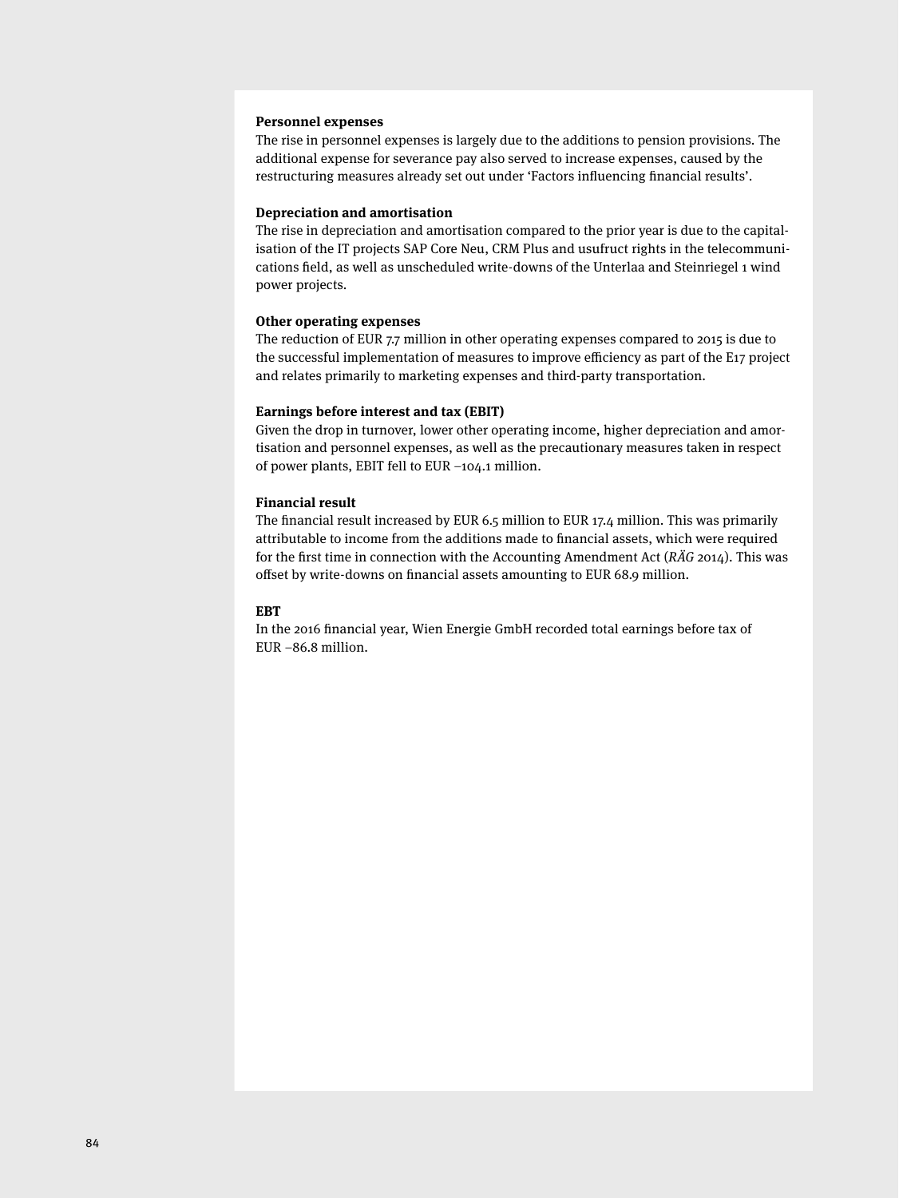#### **Personnel expenses**

The rise in personnel expenses is largely due to the additions to pension provisions. The additional expense for severance pay also served to increase expenses, caused by the restructuring measures already set out under 'Factors influencing financial results'.

#### **Depreciation and amortisation**

The rise in depreciation and amortisation compared to the prior year is due to the capitalisation of the IT projects SAP Core Neu, CRM Plus and usufruct rights in the telecommunications field, as well as unscheduled write-downs of the Unterlaa and Steinriegel 1 wind power projects.

#### **Other operating expenses**

The reduction of EUR 7.7 million in other operating expenses compared to 2015 is due to the successful implementation of measures to improve efficiency as part of the E17 project and relates primarily to marketing expenses and third-party transportation.

#### **Earnings before interest and tax (EBIT)**

Given the drop in turnover, lower other operating income, higher depreciation and amortisation and personnel expenses, as well as the precautionary measures taken in respect of power plants, EBIT fell to EUR –104.1 million.

#### **Financial result**

The financial result increased by EUR 6.5 million to EUR  $17.4$  million. This was primarily attributable to income from the additions made to financial assets, which were required for the first time in connection with the Accounting Amendment Act ( $R\ddot{A}G$  2014). This was offset by write-downs on financial assets amounting to EUR 68.9 million.

#### **EBT**

In the 2016 financial year, Wien Energie GmbH recorded total earnings before tax of EUR –86.8 million.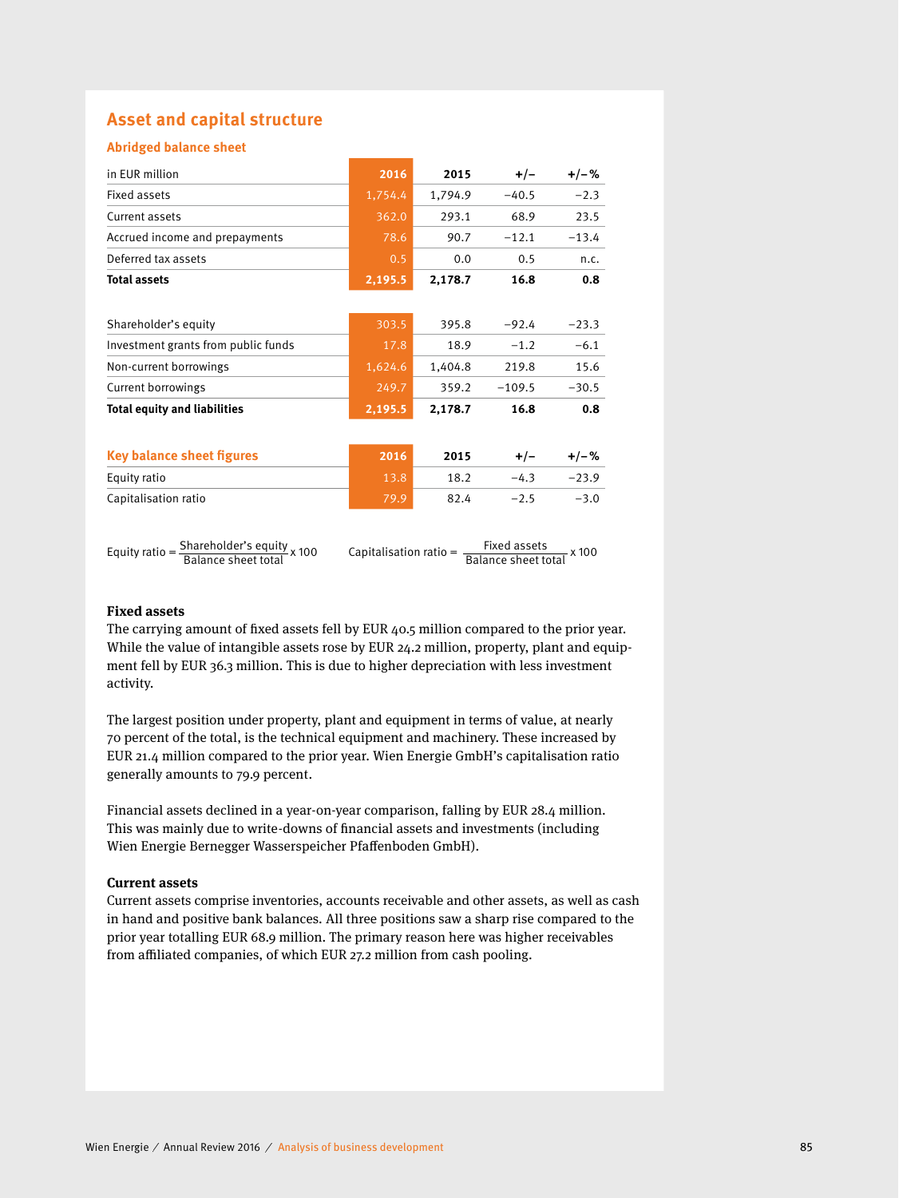### **Asset and capital structure**

#### **Abridged balance sheet**

| in EUR million                                                        | 2016                   | 2015    | $+/-$                               | $+/-%$  |
|-----------------------------------------------------------------------|------------------------|---------|-------------------------------------|---------|
| <b>Fixed assets</b>                                                   | 1,754.4                | 1,794.9 | $-40.5$                             | $-2.3$  |
| Current assets                                                        | 362.0                  | 293.1   | 68.9                                | 23.5    |
| Accrued income and prepayments                                        | 78.6                   | 90.7    | $-12.1$                             | $-13.4$ |
| Deferred tax assets                                                   | 0.5                    | 0.0     | 0.5                                 | n.c.    |
| <b>Total assets</b>                                                   | 2,195.5                | 2,178.7 | 16.8                                | 0.8     |
|                                                                       |                        |         |                                     |         |
| Shareholder's equity                                                  | 303.5                  | 395.8   | $-92.4$                             | $-23.3$ |
| Investment grants from public funds                                   | 17.8                   | 18.9    | $-1.2$                              | $-6.1$  |
| Non-current borrowings                                                | 1,624.6                | 1,404.8 | 219.8                               | 15.6    |
| Current borrowings                                                    | 249.7                  | 359.2   | $-109.5$                            | $-30.5$ |
| <b>Total equity and liabilities</b>                                   | 2,195.5                | 2,178.7 | 16.8                                | 0.8     |
|                                                                       |                        |         |                                     |         |
| <b>Key balance sheet figures</b>                                      | 2016                   | 2015    | $+/-$                               | $+/-%$  |
| Equity ratio                                                          | 13.8                   | 18.2    | $-4.3$                              | $-23.9$ |
| Capitalisation ratio                                                  | 79.9                   | 82.4    | $-2.5$                              | $-3.0$  |
|                                                                       |                        |         |                                     |         |
| Shareholder's equity x 100<br>Equity ratio $=$<br>Balance sheet total | Capitalisation ratio = |         | Fixed assets<br>Balance sheet total | x 100   |

#### **Fixed assets**

The carrying amount of fixed assets fell by EUR 40.5 million compared to the prior year. While the value of intangible assets rose by EUR 24.2 million, property, plant and equipment fell by EUR 36.3 million. This is due to higher depreciation with less investment activity.

The largest position under property, plant and equipment in terms of value, at nearly 70 percent of the total, is the technical equipment and machinery. These increased by EUR 21.4 million compared to the prior year. Wien Energie GmbH's capitalisation ratio generally amounts to 79.9 percent.

Financial assets declined in a year-on-year comparison, falling by EUR 28.4 million. This was mainly due to write-downs of financial assets and investments (including Wien Energie Bernegger Wasserspeicher Pfaffenboden GmbH).

#### **Current assets**

Current assets comprise inventories, accounts receivable and other assets, as well as cash in hand and positive bank balances. All three positions saw a sharp rise compared to the prior year totalling EUR 68.9 million. The primary reason here was higher receivables from affiliated companies, of which EUR 27.2 million from cash pooling.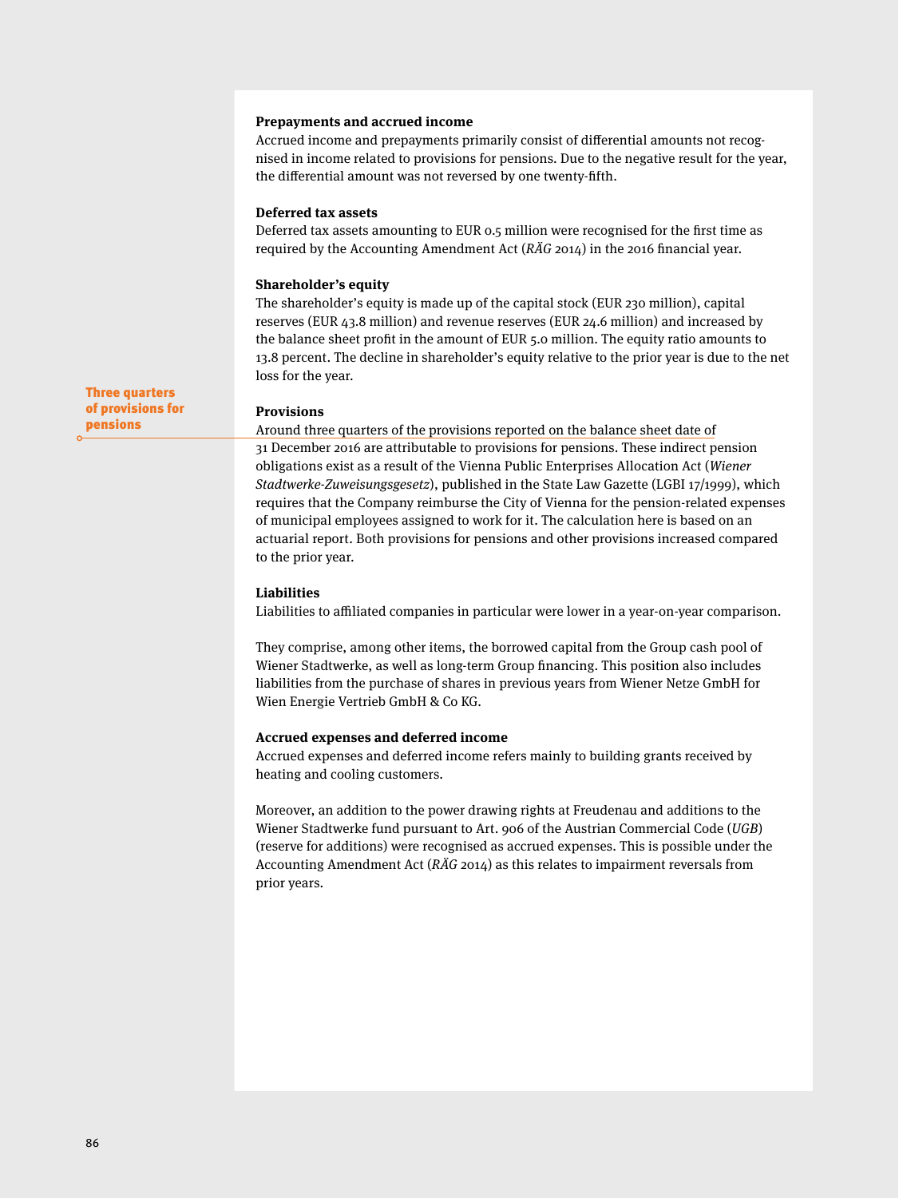#### **Prepayments and accrued income**

Accrued income and prepayments primarily consist of differential amounts not recognised in income related to provisions for pensions. Due to the negative result for the year, the differential amount was not reversed by one twenty-fifth.

#### **Deferred tax assets**

Deferred tax assets amounting to EUR 0.5 million were recognised for the first time as required by the Accounting Amendment Act ( $R\ddot{A}G$  2014) in the 2016 financial year.

#### **Shareholder's equity**

The shareholder's equity is made up of the capital stock (EUR 230 million), capital reserves (EUR 43.8 million) and revenue reserves (EUR 24.6 million) and increased by the balance sheet profit in the amount of EUR 5.0 million. The equity ratio amounts to 13.8 percent. The decline in shareholder's equity relative to the prior year is due to the net loss for the year.

#### **Provisions**

Around three quarters of the provisions reported on the balance sheet date of 31 December 2016 are attributable to provisions for pensions. These indirect pension obligations exist as a result of the Vienna Public Enterprises Allocation Act (Wiener Stadtwerke-Zuweisungsgesetz), published in the State Law Gazette (LGBI 17/1999), which requires that the Company reimburse the City of Vienna for the pension-related expenses of municipal employees assigned to work for it. The calculation here is based on an actuarial report. Both provisions for pensions and other provisions increased compared to the prior year.

#### **Liabilities**

Liabilities to affiliated companies in particular were lower in a year-on-year comparison.

They comprise, among other items, the borrowed capital from the Group cash pool of Wiener Stadtwerke, as well as long-term Group financing. This position also includes liabilities from the purchase of shares in previous years from Wiener Netze GmbH for Wien Energie Vertrieb GmbH & Co KG.

#### **Accrued expenses and deferred income**

Accrued expenses and deferred income refers mainly to building grants received by heating and cooling customers.

Moreover, an addition to the power drawing rights at Freudenau and additions to the Wiener Stadtwerke fund pursuant to Art. 906 of the Austrian Commercial Code (UGB) (reserve for additions) were recognised as accrued expenses. This is possible under the Accounting Amendment Act (RÄG 2014) as this relates to impairment reversals from prior years.

Three quarters of provisions for pensions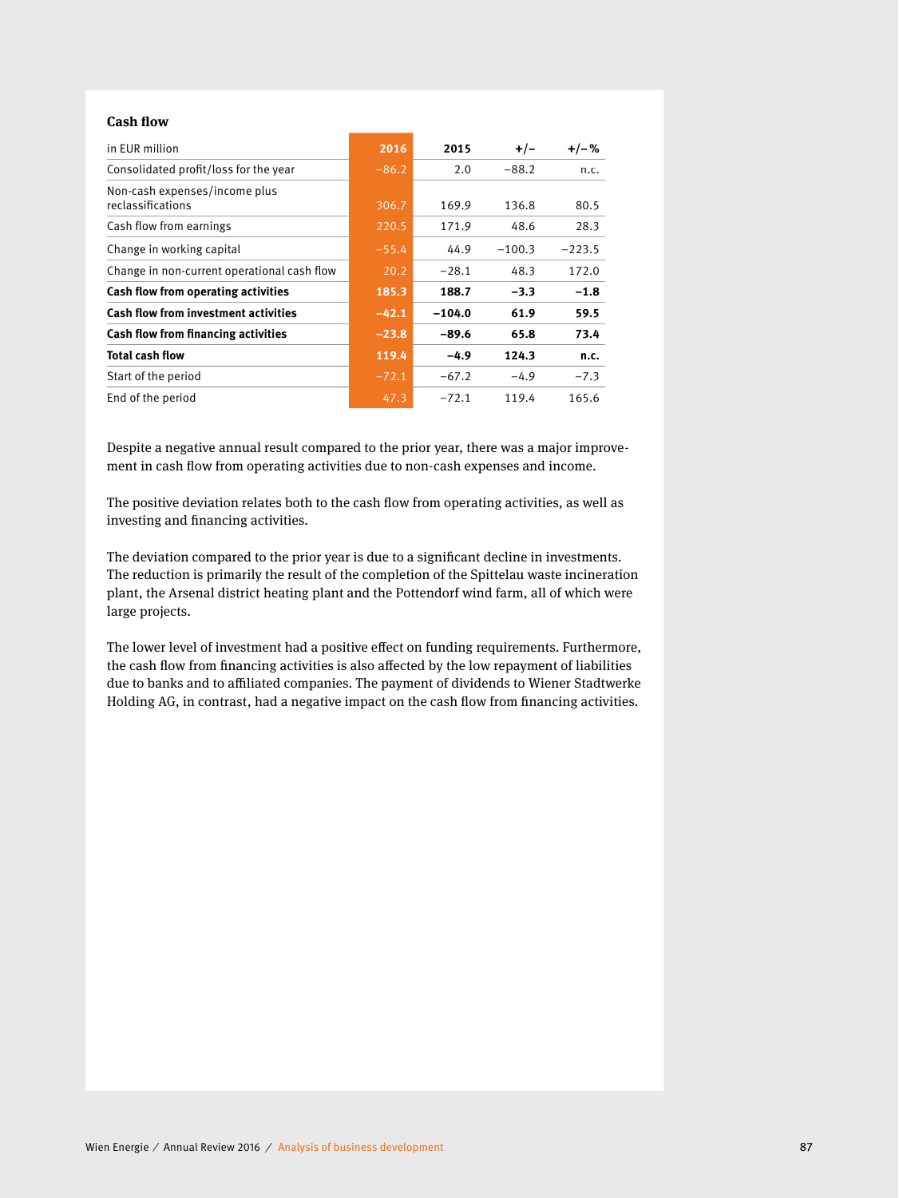#### **Cash flow**

| in EUR million                                     | 2016    | 2015     | $+/-$    | $+/-%$   |
|----------------------------------------------------|---------|----------|----------|----------|
| Consolidated profit/loss for the year              | $-86.2$ | 2.0      | $-88.2$  | n.c.     |
| Non-cash expenses/income plus<br>reclassifications | 306.7   | 169.9    | 136.8    | 80.5     |
| Cash flow from earnings                            | 220.5   | 171.9    | 48.6     | 28.3     |
| Change in working capital                          | $-55.4$ | 44.9     | $-100.3$ | $-223.5$ |
| Change in non-current operational cash flow        | 20.2    | $-28.1$  | 48.3     | 172.0    |
| Cash flow from operating activities                | 185.3   | 188.7    | $-3.3$   | $-1.8$   |
| <b>Cash flow from investment activities</b>        | $-42.1$ | $-104.0$ | 61.9     | 59.5     |
| Cash flow from financing activities                | $-23.8$ | $-89.6$  | 65.8     | 73.4     |
| <b>Total cash flow</b>                             | 119.4   | $-4.9$   | 124.3    | n.c.     |
| Start of the period                                | $-72.1$ | $-67.2$  | $-4.9$   | $-7.3$   |
| End of the period                                  | 47.3    | $-72.1$  | 119.4    | 165.6    |

Despite a negative annual result compared to the prior year, there was a major improvement in cash flow from operating activities due to non-cash expenses and income.

The positive deviation relates both to the cash flow from operating activities, as well as investing and financing activities.

The deviation compared to the prior year is due to a significant decline in investments. The reduction is primarily the result of the completion of the Spittelau waste incineration plant, the Arsenal district heating plant and the Pottendorf wind farm, all of which were large projects.

The lower level of investment had a positive effect on funding requirements. Furthermore, the cash flow from financing activities is also affected by the low repayment of liabilities due to banks and to affiliated companies. The payment of dividends to Wiener Stadtwerke Holding AG, in contrast, had a negative impact on the cash flow from financing activities.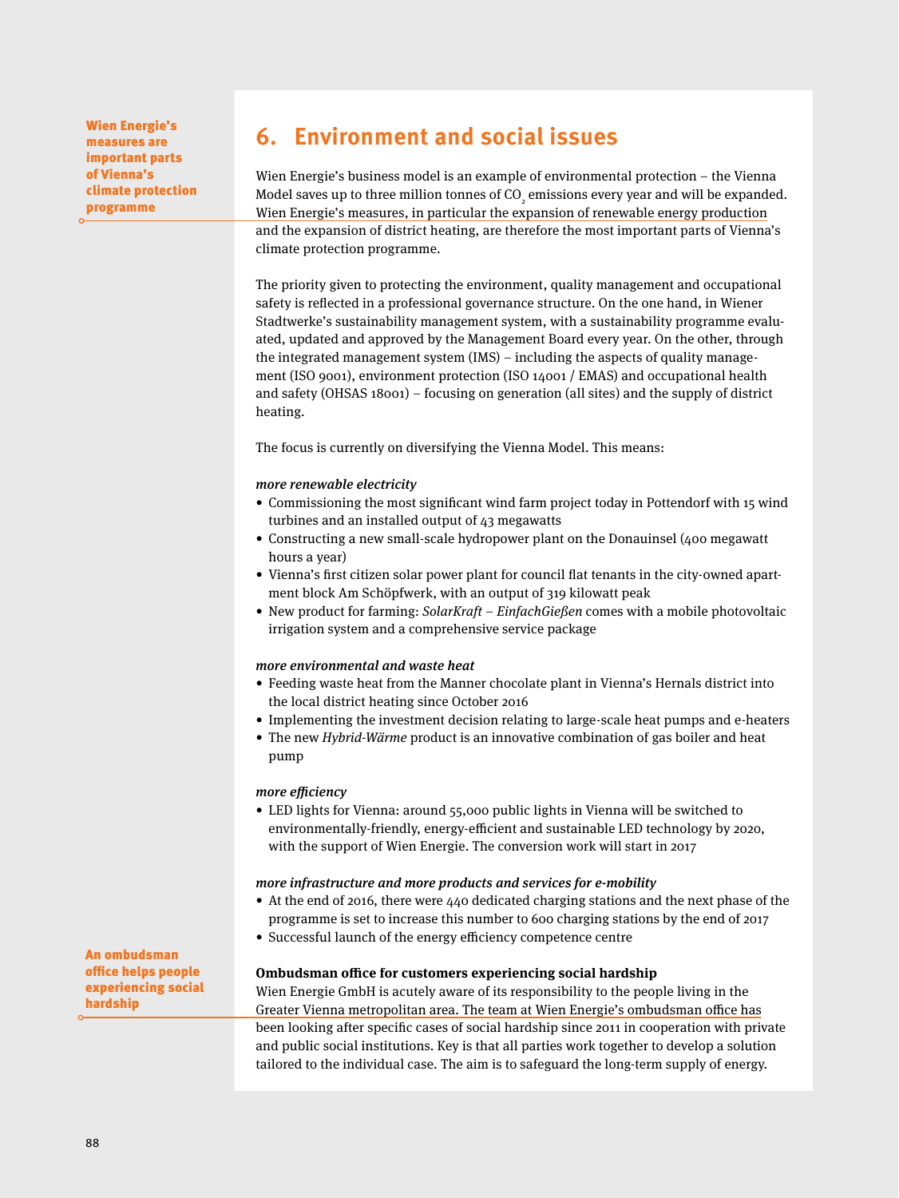Wien Energie's measures are important parts of Vienna's climate protection programme

## **6. Environment and social issues**

Wien Energie's business model is an example of environmental protection – the Vienna Model saves up to three million tonnes of CO<sub>2</sub> emissions every year and will be expanded. Wien Energie's measures, in particular the expansion of renewable energy production and the expansion of district heating, are therefore the most important parts of Vienna's climate protection programme.

The priority given to protecting the environment, quality management and occupational safety is reflected in a professional governance structure. On the one hand, in Wiener Stadtwerke's sustainability management system, with a sustainability programme evaluated, updated and approved by the Management Board every year. On the other, through the integrated management system (IMS) – including the aspects of quality management (ISO 9001), environment protection (ISO 14001 / EMAS) and occupational health and safety (OHSAS 18001) – focusing on generation (all sites) and the supply of district heating.

The focus is currently on diversifying the Vienna Model. This means:

#### more renewable electricity

- Commissioning the most significant wind farm project today in Pottendorf with 15 wind turbines and an installed output of 43 megawatts
- Constructing a new small-scale hydropower plant on the Donauinsel (400 megawatt hours a year)
- Vienna's first citizen solar power plant for council flat tenants in the city-owned apartment block Am Schöpfwerk, with an output of 319 kilowatt peak
- New product for farming: SolarKraft EinfachGießen comes with a mobile photovoltaic irrigation system and a comprehensive service package

#### more environmental and waste heat

- Feeding waste heat from the Manner chocolate plant in Vienna's Hernals district into the local district heating since October 2016
- Implementing the investment decision relating to large-scale heat pumps and e-heaters
- The new Hybrid-Wärme product is an innovative combination of gas boiler and heat pump

#### more efficiency

• LED lights for Vienna: around 55,000 public lights in Vienna will be switched to environmentally-friendly, energy-efficient and sustainable LED technology by 2020, with the support of Wien Energie. The conversion work will start in 2017

#### more infrastructure and more products and services for e-mobility

- At the end of 2016, there were 440 dedicated charging stations and the next phase of the programme is set to increase this number to 600 charging stations by the end of 2017
- Successful launch of the energy efficiency competence centre

#### **Ombudsman office for customers experiencing social hardship**

Wien Energie GmbH is acutely aware of its responsibility to the people living in the Greater Vienna metropolitan area. The team at Wien Energie's ombudsman office has been looking after specific cases of social hardship since 2011 in cooperation with private and public social institutions. Key is that all parties work together to develop a solution tailored to the individual case. The aim is to safeguard the long-term supply of energy.

An ombudsman office helps people experiencing social hardship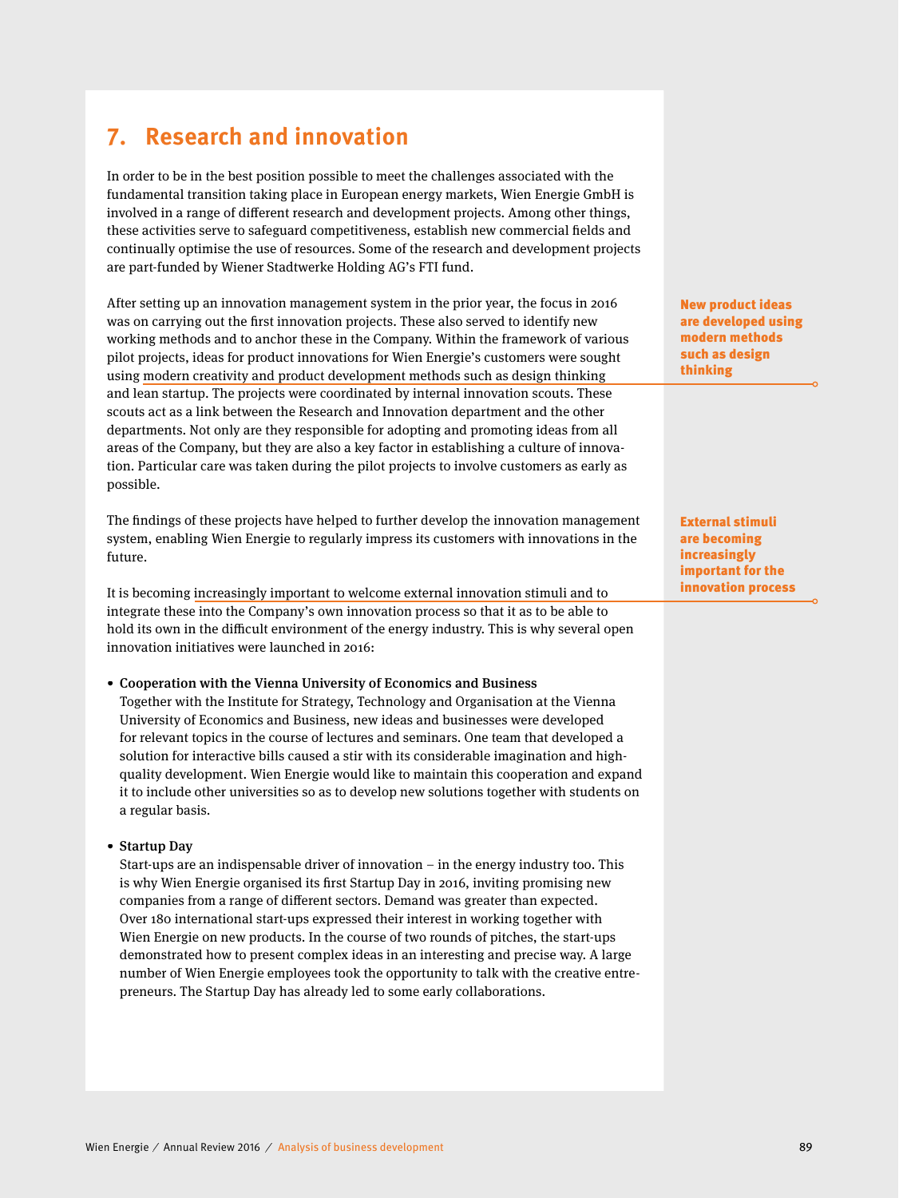## **7. Research and innovation**

In order to be in the best position possible to meet the challenges associated with the fundamental transition taking place in European energy markets, Wien Energie GmbH is involved in a range of different research and development projects. Among other things, these activities serve to safeguard competitiveness, establish new commercial fields and continually optimise the use of resources. Some of the research and development projects are part-funded by Wiener Stadtwerke Holding AG's FTI fund.

After setting up an innovation management system in the prior year, the focus in 2016 was on carrying out the first innovation projects. These also served to identify new working methods and to anchor these in the Company. Within the framework of various pilot projects, ideas for product innovations for Wien Energie's customers were sought using modern creativity and product development methods such as design thinking and lean startup. The projects were coordinated by internal innovation scouts. These scouts act as a link between the Research and Innovation department and the other departments. Not only are they responsible for adopting and promoting ideas from all areas of the Company, but they are also a key factor in establishing a culture of innovation. Particular care was taken during the pilot projects to involve customers as early as possible.

The findings of these projects have helped to further develop the innovation management system, enabling Wien Energie to regularly impress its customers with innovations in the future.

It is becoming increasingly important to welcome external innovation stimuli and to integrate these into the Company's own innovation process so that it as to be able to hold its own in the difficult environment of the energy industry. This is why several open innovation initiatives were launched in 2016:

#### • Cooperation with the Vienna University of Economics and Business

 Together with the Institute for Strategy, Technology and Organisation at the Vienna University of Economics and Business, new ideas and businesses were developed for relevant topics in the course of lectures and seminars. One team that developed a solution for interactive bills caused a stir with its considerable imagination and highquality development. Wien Energie would like to maintain this cooperation and expand it to include other universities so as to develop new solutions together with students on a regular basis.

#### • Startup Day

 Start-ups are an indispensable driver of innovation – in the energy industry too. This is why Wien Energie organised its first Startup Day in 2016, inviting promising new companies from a range of different sectors. Demand was greater than expected. Over 180 international start-ups expressed their interest in working together with Wien Energie on new products. In the course of two rounds of pitches, the start-ups demonstrated how to present complex ideas in an interesting and precise way. A large number of Wien Energie employees took the opportunity to talk with the creative entrepreneurs. The Startup Day has already led to some early collaborations.

New product ideas are developed using modern methods such as design thinking

External stimuli are becoming increasingly important for the innovation process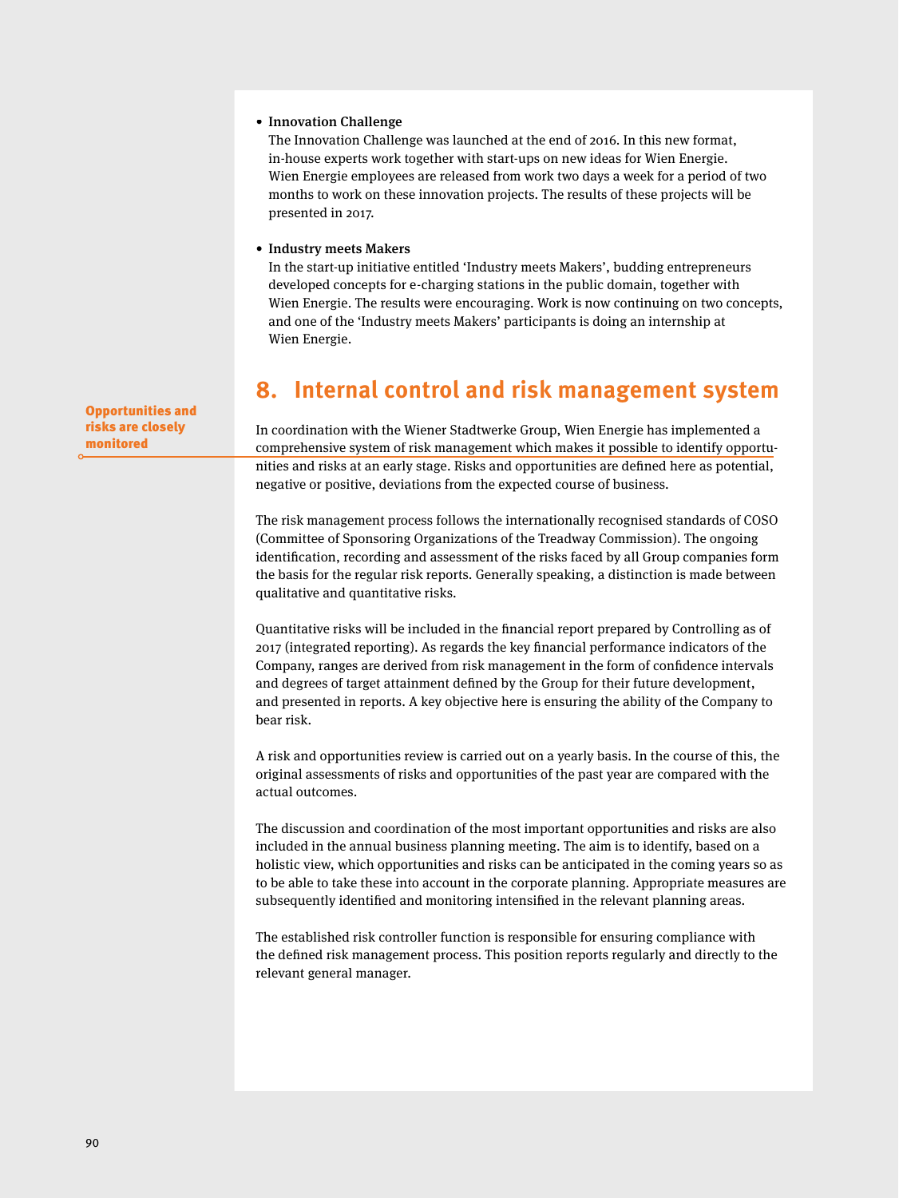#### • Innovation Challenge

 The Innovation Challenge was launched at the end of 2016. In this new format, in-house experts work together with start-ups on new ideas for Wien Energie. Wien Energie employees are released from work two days a week for a period of two months to work on these innovation projects. The results of these projects will be presented in 2017.

#### • Industry meets Makers

 In the start-up initiative entitled 'Industry meets Makers', budding entrepreneurs developed concepts for e-charging stations in the public domain, together with Wien Energie. The results were encouraging. Work is now continuing on two concepts, and one of the 'Industry meets Makers' participants is doing an internship at Wien Energie.

## **8. Internal control and risk management system**

In coordination with the Wiener Stadtwerke Group, Wien Energie has implemented a comprehensive system of risk management which makes it possible to identify opportunities and risks at an early stage. Risks and opportunities are defined here as potential, negative or positive, deviations from the expected course of business.

The risk management process follows the internationally recognised standards of COSO (Committee of Sponsoring Organizations of the Treadway Commission). The ongoing identification, recording and assessment of the risks faced by all Group companies form the basis for the regular risk reports. Generally speaking, a distinction is made between qualitative and quantitative risks.

Quantitative risks will be included in the financial report prepared by Controlling as of 2017 (integrated reporting). As regards the key financial performance indicators of the Company, ranges are derived from risk management in the form of confidence intervals and degrees of target attainment defined by the Group for their future development, and presented in reports. A key objective here is ensuring the ability of the Company to bear risk.

A risk and opportunities review is carried out on a yearly basis. In the course of this, the original assessments of risks and opportunities of the past year are compared with the actual outcomes.

The discussion and coordination of the most important opportunities and risks are also included in the annual business planning meeting. The aim is to identify, based on a holistic view, which opportunities and risks can be anticipated in the coming years so as to be able to take these into account in the corporate planning. Appropriate measures are subsequently identified and monitoring intensified in the relevant planning areas.

The established risk controller function is responsible for ensuring compliance with the defined risk management process. This position reports regularly and directly to the relevant general manager.

Opportunities and risks are closely monitored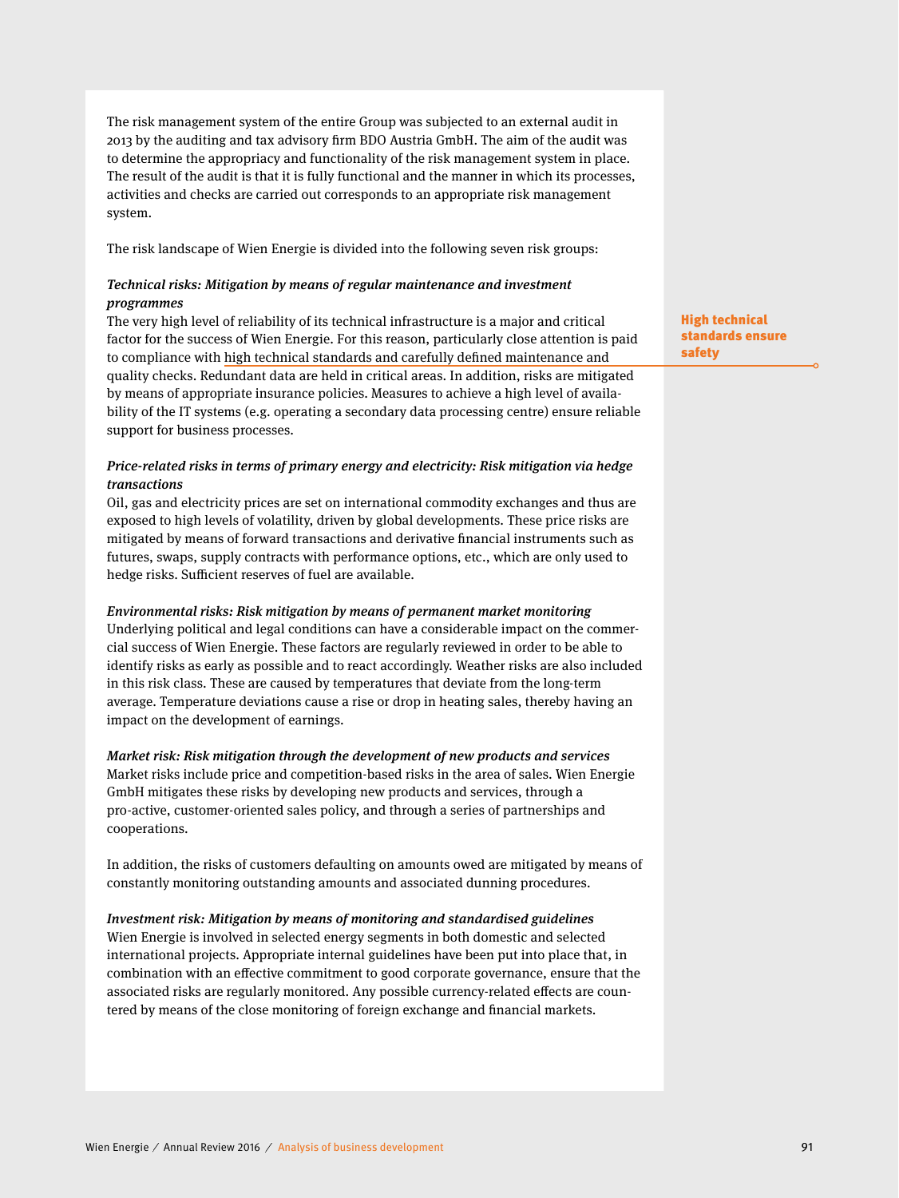The risk management system of the entire Group was subjected to an external audit in 2013 by the auditing and tax advisory firm BDO Austria GmbH. The aim of the audit was to determine the appropriacy and functionality of the risk management system in place. The result of the audit is that it is fully functional and the manner in which its processes, activities and checks are carried out corresponds to an appropriate risk management system.

The risk landscape of Wien Energie is divided into the following seven risk groups:

#### Technical risks: Mitigation by means of regular maintenance and investment programmes

The very high level of reliability of its technical infrastructure is a major and critical factor for the success of Wien Energie. For this reason, particularly close attention is paid to compliance with high technical standards and carefully defined maintenance and quality checks. Redundant data are held in critical areas. In addition, risks are mitigated by means of appropriate insurance policies. Measures to achieve a high level of availability of the IT systems (e.g. operating a secondary data processing centre) ensure reliable support for business processes.

#### Price-related risks in terms of primary energy and electricity: Risk mitigation via hedge transactions

Oil, gas and electricity prices are set on international commodity exchanges and thus are exposed to high levels of volatility, driven by global developments. These price risks are mitigated by means of forward transactions and derivative financial instruments such as futures, swaps, supply contracts with performance options, etc., which are only used to hedge risks. Sufficient reserves of fuel are available.

#### Environmental risks: Risk mitigation by means of permanent market monitoring

Underlying political and legal conditions can have a considerable impact on the commercial success of Wien Energie. These factors are regularly reviewed in order to be able to identify risks as early as possible and to react accordingly. Weather risks are also included in this risk class. These are caused by temperatures that deviate from the long-term average. Temperature deviations cause a rise or drop in heating sales, thereby having an impact on the development of earnings.

#### Market risk: Risk mitigation through the development of new products and services

Market risks include price and competition-based risks in the area of sales. Wien Energie GmbH mitigates these risks by developing new products and services, through a pro-active, customer-oriented sales policy, and through a series of partnerships and cooperations.

In addition, the risks of customers defaulting on amounts owed are mitigated by means of constantly monitoring outstanding amounts and associated dunning procedures.

#### Investment risk: Mitigation by means of monitoring and standardised guidelines

Wien Energie is involved in selected energy segments in both domestic and selected international projects. Appropriate internal guidelines have been put into place that, in combination with an effective commitment to good corporate governance, ensure that the associated risks are regularly monitored. Any possible currency-related effects are countered by means of the close monitoring of foreign exchange and financial markets.

High technical standards ensure safety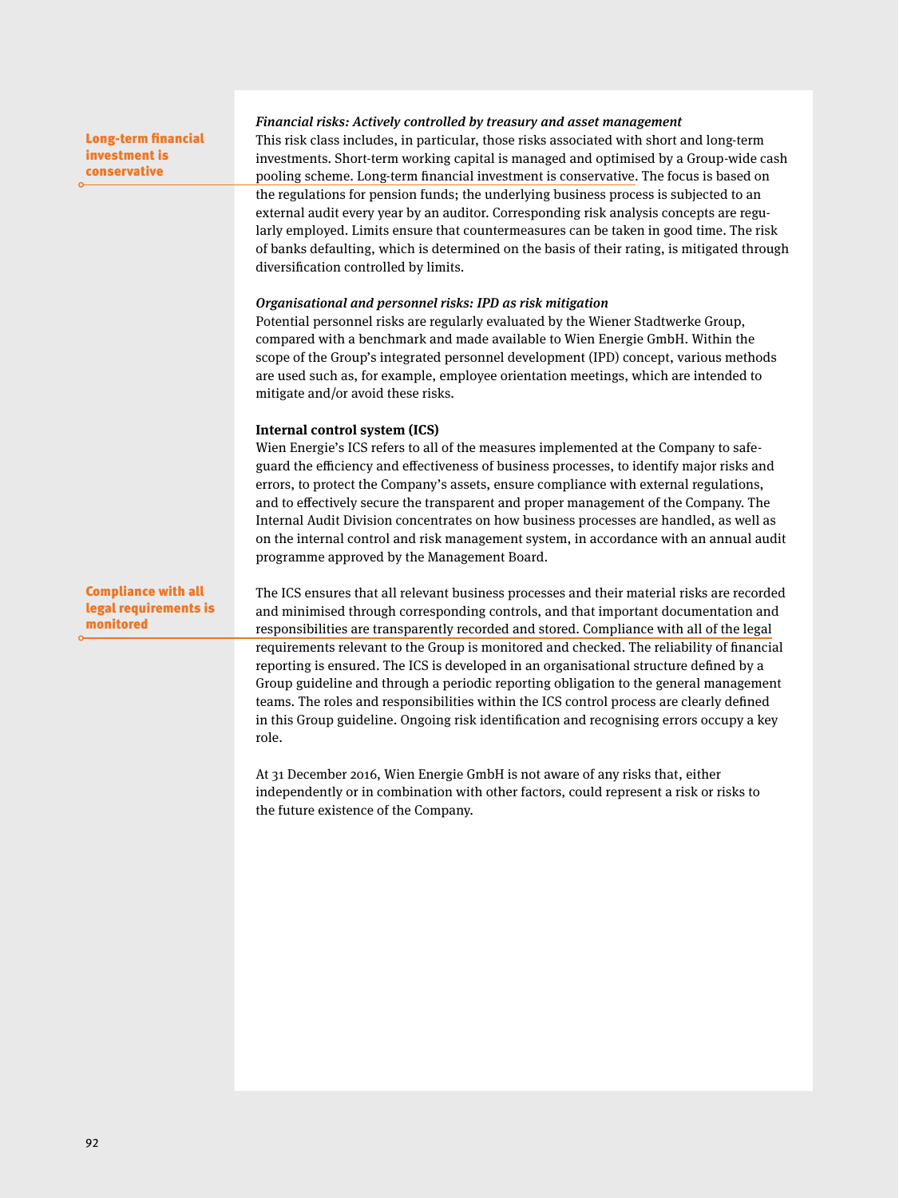| <b>Long-term financial</b><br>investment is<br>conservative      | Financial risks: Actively controlled by treasury and asset management<br>This risk class includes, in particular, those risks associated with short and long-term<br>investments. Short-term working capital is managed and optimised by a Group-wide cash<br>pooling scheme. Long-term financial investment is conservative. The focus is based on<br>the regulations for pension funds; the underlying business process is subjected to an<br>external audit every year by an auditor. Corresponding risk analysis concepts are regu-<br>larly employed. Limits ensure that countermeasures can be taken in good time. The risk<br>of banks defaulting, which is determined on the basis of their rating, is mitigated through                                                                                                                                                                                                                                                 |
|------------------------------------------------------------------|----------------------------------------------------------------------------------------------------------------------------------------------------------------------------------------------------------------------------------------------------------------------------------------------------------------------------------------------------------------------------------------------------------------------------------------------------------------------------------------------------------------------------------------------------------------------------------------------------------------------------------------------------------------------------------------------------------------------------------------------------------------------------------------------------------------------------------------------------------------------------------------------------------------------------------------------------------------------------------|
|                                                                  | diversification controlled by limits.<br>Organisational and personnel risks: IPD as risk mitigation<br>Potential personnel risks are regularly evaluated by the Wiener Stadtwerke Group,<br>compared with a benchmark and made available to Wien Energie GmbH. Within the<br>scope of the Group's integrated personnel development (IPD) concept, various methods<br>are used such as, for example, employee orientation meetings, which are intended to<br>mitigate and/or avoid these risks.                                                                                                                                                                                                                                                                                                                                                                                                                                                                                   |
|                                                                  | Internal control system (ICS)<br>Wien Energie's ICS refers to all of the measures implemented at the Company to safe-<br>guard the efficiency and effectiveness of business processes, to identify major risks and<br>errors, to protect the Company's assets, ensure compliance with external regulations,<br>and to effectively secure the transparent and proper management of the Company. The<br>Internal Audit Division concentrates on how business processes are handled, as well as<br>on the internal control and risk management system, in accordance with an annual audit<br>programme approved by the Management Board.                                                                                                                                                                                                                                                                                                                                            |
| <b>Compliance with all</b><br>legal requirements is<br>monitored | The ICS ensures that all relevant business processes and their material risks are recorded<br>and minimised through corresponding controls, and that important documentation and<br>responsibilities are transparently recorded and stored. Compliance with all of the legal<br>requirements relevant to the Group is monitored and checked. The reliability of financial<br>reporting is ensured. The ICS is developed in an organisational structure defined by a<br>Group guideline and through a periodic reporting obligation to the general management<br>teams. The roles and responsibilities within the ICS control process are clearly defined<br>in this Group guideline. Ongoing risk identification and recognising errors occupy a key<br>role.<br>At 31 December 2016, Wien Energie GmbH is not aware of any risks that, either<br>independently or in combination with other factors, could represent a risk or risks to<br>the future existence of the Company. |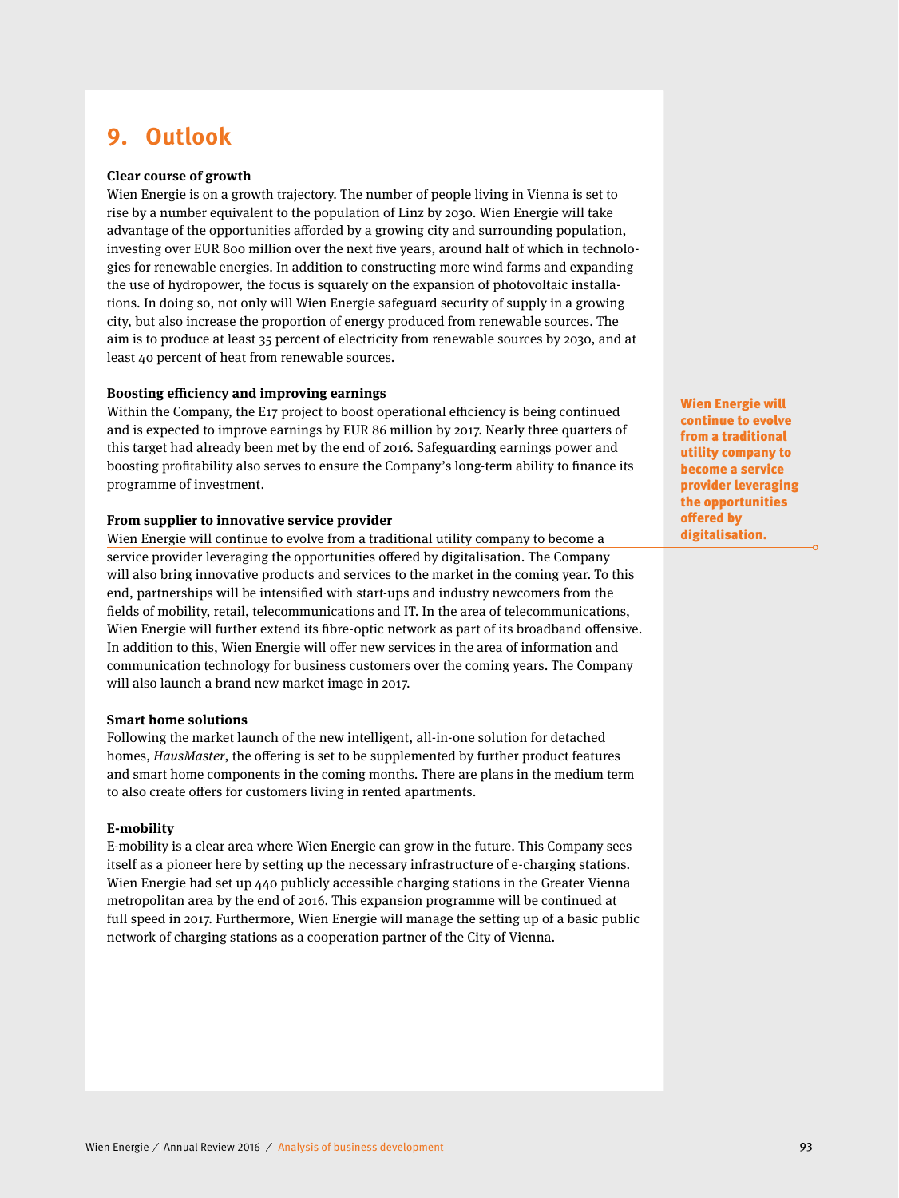## **9. Outlook**

#### **Clear course of growth**

Wien Energie is on a growth trajectory. The number of people living in Vienna is set to rise by a number equivalent to the population of Linz by 2030. Wien Energie will take advantage of the opportunities afforded by a growing city and surrounding population, investing over EUR 800 million over the next five years, around half of which in technologies for renewable energies. In addition to constructing more wind farms and expanding the use of hydropower, the focus is squarely on the expansion of photovoltaic installations. In doing so, not only will Wien Energie safeguard security of supply in a growing city, but also increase the proportion of energy produced from renewable sources. The aim is to produce at least 35 percent of electricity from renewable sources by 2030, and at least 40 percent of heat from renewable sources.

#### **Boosting efficiency and improving earnings**

Within the Company, the E17 project to boost operational efficiency is being continued and is expected to improve earnings by EUR 86 million by 2017. Nearly three quarters of this target had already been met by the end of 2016. Safeguarding earnings power and boosting profitability also serves to ensure the Company's long-term ability to finance its programme of investment.

#### **From supplier to innovative service provider**

Wien Energie will continue to evolve from a traditional utility company to become a service provider leveraging the opportunities offered by digitalisation. The Company will also bring innovative products and services to the market in the coming year. To this end, partnerships will be intensified with start-ups and industry newcomers from the fields of mobility, retail, telecommunications and IT. In the area of telecommunications, Wien Energie will further extend its fibre-optic network as part of its broadband offensive. In addition to this, Wien Energie will offer new services in the area of information and communication technology for business customers over the coming years. The Company will also launch a brand new market image in 2017.

#### **Smart home solutions**

Following the market launch of the new intelligent, all-in-one solution for detached homes, HausMaster, the offering is set to be supplemented by further product features and smart home components in the coming months. There are plans in the medium term to also create offers for customers living in rented apartments.

#### **E-mobility**

E-mobility is a clear area where Wien Energie can grow in the future. This Company sees itself as a pioneer here by setting up the necessary infrastructure of e-charging stations. Wien Energie had set up 440 publicly accessible charging stations in the Greater Vienna metropolitan area by the end of 2016. This expansion programme will be continued at full speed in 2017. Furthermore, Wien Energie will manage the setting up of a basic public network of charging stations as a cooperation partner of the City of Vienna.

Wien Energie will continue to evolve from a traditional utility company to become a service provider leveraging the opportunities offered by digitalisation.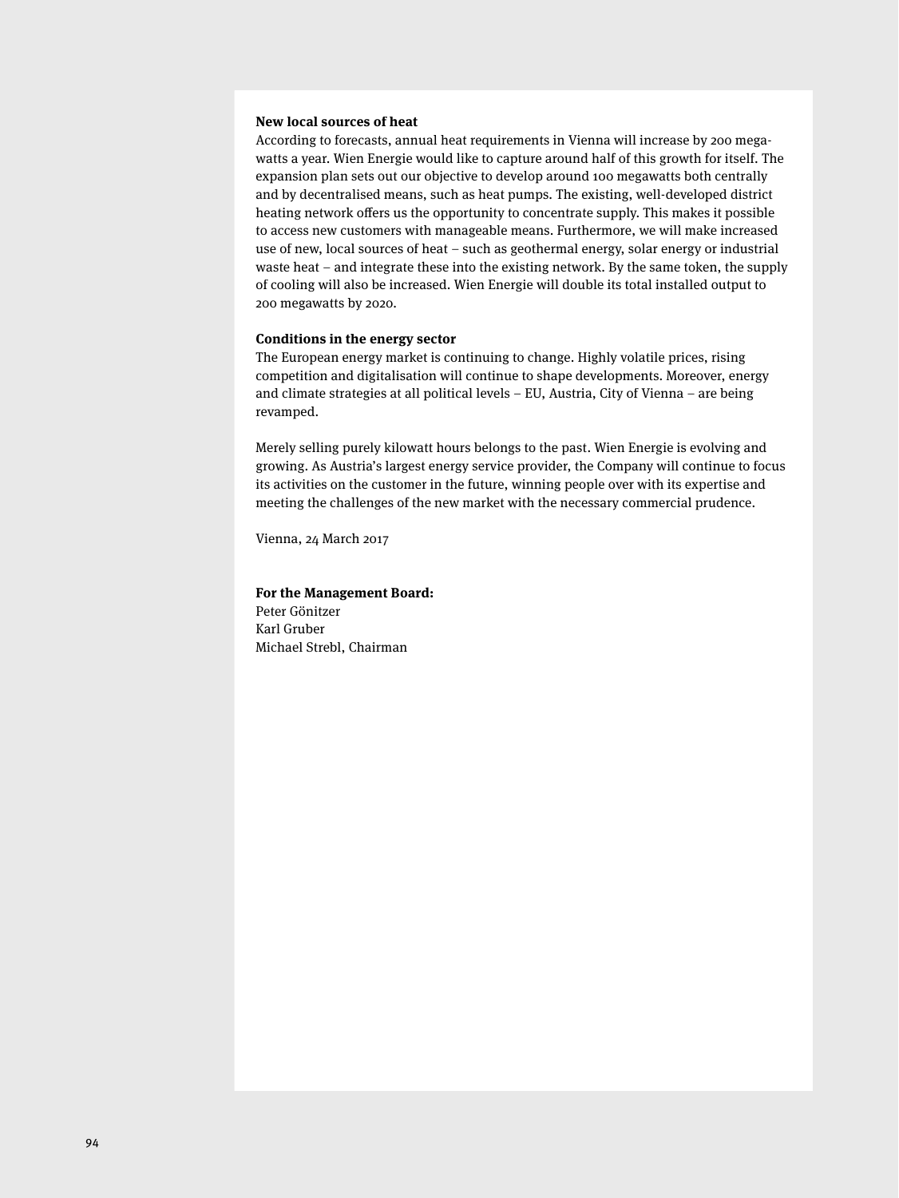#### **New local sources of heat**

According to forecasts, annual heat requirements in Vienna will increase by 200 megawatts a year. Wien Energie would like to capture around half of this growth for itself. The expansion plan sets out our objective to develop around 100 megawatts both centrally and by decentralised means, such as heat pumps. The existing, well-developed district heating network offers us the opportunity to concentrate supply. This makes it possible to access new customers with manageable means. Furthermore, we will make increased use of new, local sources of heat – such as geothermal energy, solar energy or industrial waste heat – and integrate these into the existing network. By the same token, the supply of cooling will also be increased. Wien Energie will double its total installed output to 200 megawatts by 2020.

#### **Conditions in the energy sector**

The European energy market is continuing to change. Highly volatile prices, rising competition and digitalisation will continue to shape developments. Moreover, energy and climate strategies at all political levels – EU, Austria, City of Vienna – are being revamped.

Merely selling purely kilowatt hours belongs to the past. Wien Energie is evolving and growing. As Austria's largest energy service provider, the Company will continue to focus its activities on the customer in the future, winning people over with its expertise and meeting the challenges of the new market with the necessary commercial prudence.

Vienna, 24 March 2017

#### **For the Management Board:**

Peter Gönitzer Karl Gruber Michael Strebl, Chairman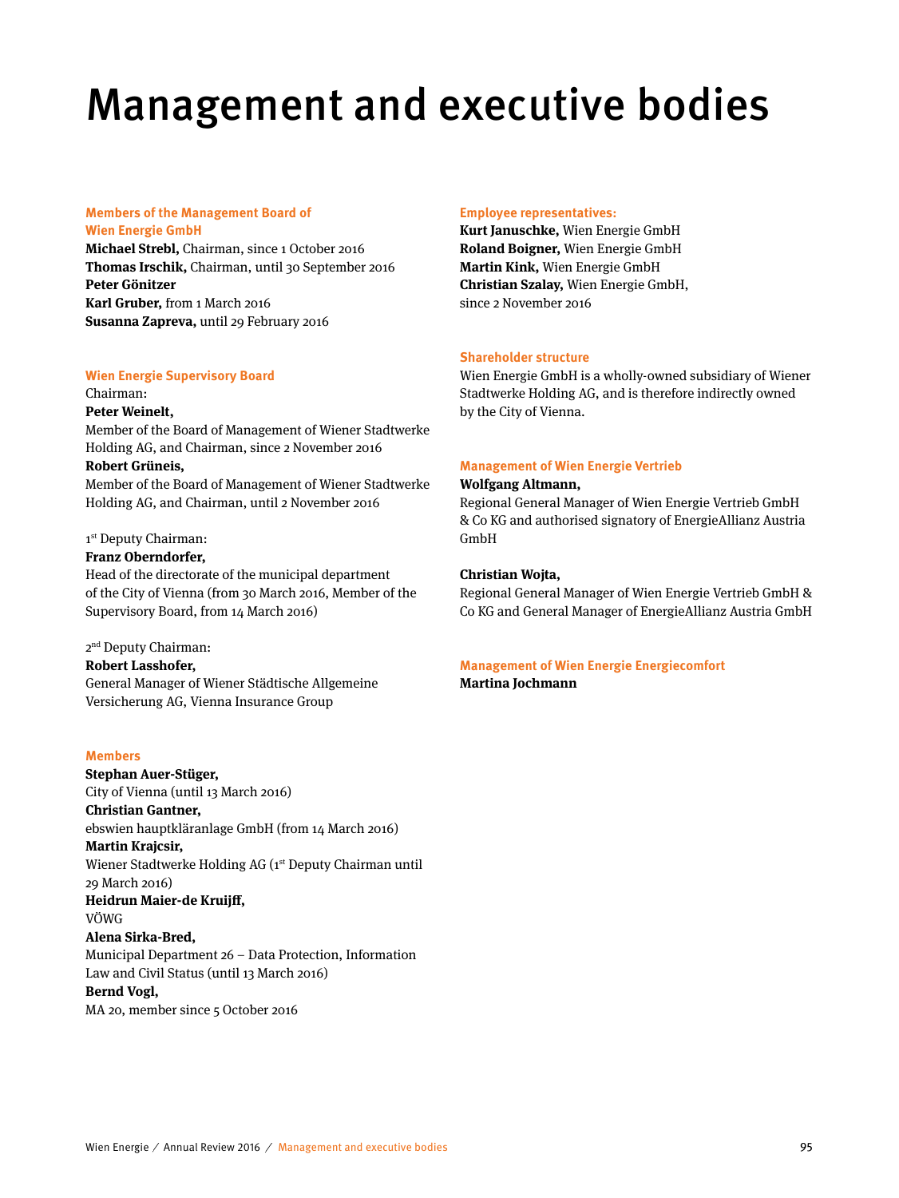# Management and executive bodies

#### **Members of the Management Board of Wien Energie GmbH**

**Michael Strebl,** Chairman, since 1 October 2016 **Thomas Irschik,** Chairman, until 30 September 2016 **Peter Gönitzer Karl Gruber,** from 1 March 2016 **Susanna Zapreva,** until 29 February 2016

## **Wien Energie Supervisory Board**

#### Chairman:

#### **Peter Weinelt,**

Member of the Board of Management of Wiener Stadtwerke Holding AG, and Chairman, since 2 November 2016 **Robert Grüneis,**  Member of the Board of Management of Wiener Stadtwerke

Holding AG, and Chairman, until 2 November 2016

#### 1<sup>st</sup> Deputy Chairman:

#### **Franz Oberndorfer,**

Head of the directorate of the municipal department of the City of Vienna (from 30 March 2016, Member of the Supervisory Board, from 14 March 2016)

2nd Deputy Chairman:

#### **Robert Lasshofer,** General Manager of Wiener Städtische Allgemeine Versicherung AG, Vienna Insurance Group

#### **Members**

**Stephan Auer-Stüger,**  City of Vienna (until 13 March 2016) **Christian Gantner,**  ebswien hauptkläranlage GmbH (from 14 March 2016) **Martin Krajcsir,**  Wiener Stadtwerke Holding AG (1<sup>st</sup> Deputy Chairman until 29 March 2016) **Heidrun Maier-de Kruijff ,** VÖWG **Alena Sirka-Bred,**  Municipal Department 26 – Data Protection, Information Law and Civil Status (until 13 March 2016) **Bernd Vogl,** 

#### MA 20, member since 5 October 2016

#### **Employee representatives:**

**Kurt Januschke,** Wien Energie GmbH **Roland Boigner,** Wien Energie GmbH **Martin Kink,** Wien Energie GmbH **Christian Szalay,** Wien Energie GmbH, since 2 November 2016

#### **Shareholder structure**

Wien Energie GmbH is a wholly-owned subsidiary of Wiener Stadtwerke Holding AG, and is therefore indirectly owned by the City of Vienna.

#### **Management of Wien Energie Vertrieb**

#### **Wolfgang Altmann,**

Regional General Manager of Wien Energie Vertrieb GmbH & Co KG and authorised signatory of EnergieAllianz Austria GmbH

#### **Christian Wojta,**

Regional General Manager of Wien Energie Vertrieb GmbH & Co KG and General Manager of EnergieAllianz Austria GmbH

#### **Management of Wien Energie Energiecomfort Martina Jochmann**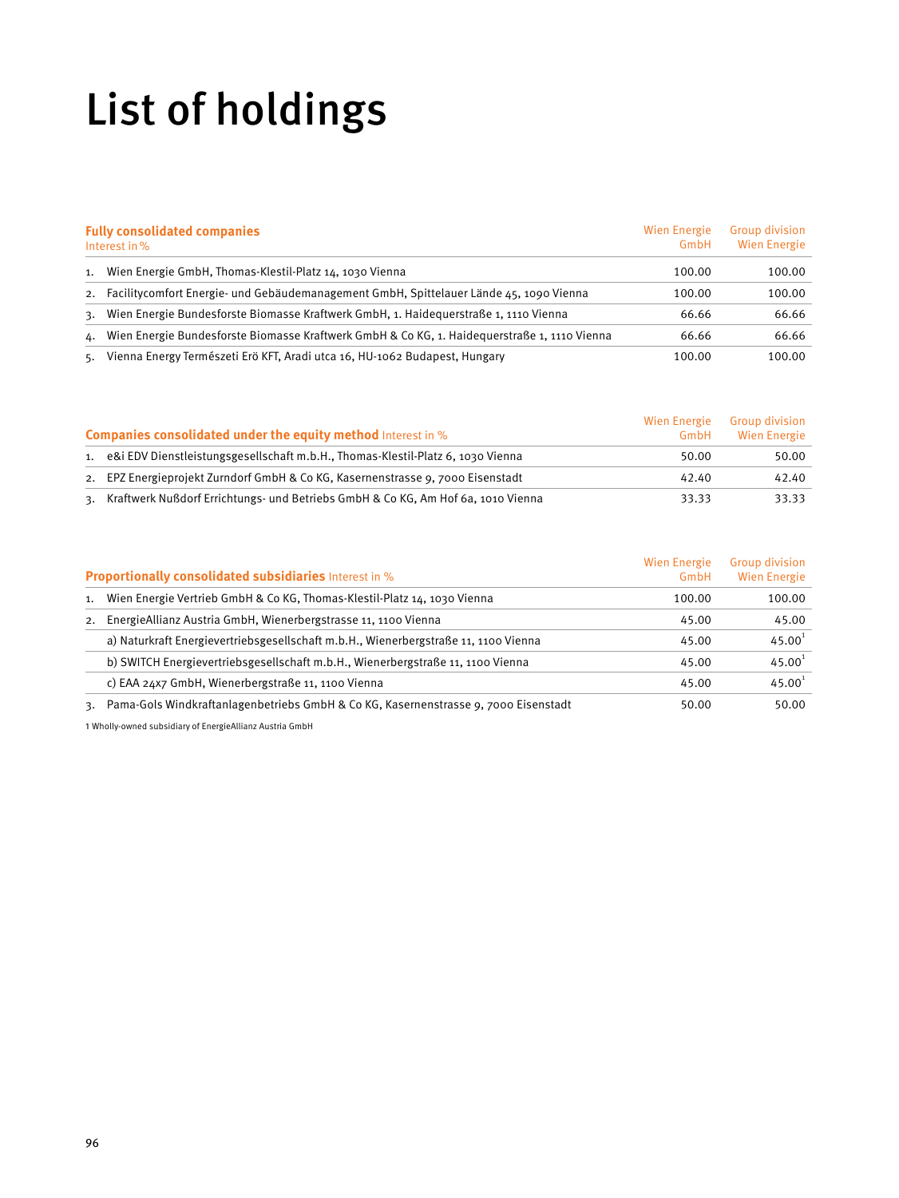# List of holdings

| <b>Fully consolidated companies</b><br>Interest in % |                                                                                              | Wien Energie<br>GmbH | <b>Group division</b><br><b>Wien Energie</b> |
|------------------------------------------------------|----------------------------------------------------------------------------------------------|----------------------|----------------------------------------------|
| 1.                                                   | Wien Energie GmbH, Thomas-Klestil-Platz 14, 1030 Vienna                                      | 100.00               | 100.00                                       |
| 2.                                                   | Facilitycomfort Energie- und Gebäudemanagement GmbH, Spittelauer Lände 45, 1090 Vienna       | 100.00               | 100.00                                       |
| 3.                                                   | Wien Energie Bundesforste Biomasse Kraftwerk GmbH, 1. Haidequerstraße 1, 1110 Vienna         | 66.66                | 66.66                                        |
| 4.                                                   | Wien Energie Bundesforste Biomasse Kraftwerk GmbH & Co KG, 1. Haidequerstraße 1, 1110 Vienna | 66.66                | 66.66                                        |
| 5.                                                   | Vienna Energy Természeti Erö KFT, Aradi utca 16, HU-1062 Budapest, Hungary                   | 100.00               | 100.00                                       |

| <b>Companies consolidated under the equity method</b> Interest in % |                                                                                     | Wien Energie<br>GmbH | <b>Group division</b><br><b>Wien Energie</b> |
|---------------------------------------------------------------------|-------------------------------------------------------------------------------------|----------------------|----------------------------------------------|
|                                                                     | 1. e&i EDV Dienstleistungsgesellschaft m.b.H., Thomas-Klestil-Platz 6, 1030 Vienna  | 50.00                | 50.00                                        |
|                                                                     | 2. EPZ Energieprojekt Zurndorf GmbH & Co KG, Kasernenstrasse 9, 7000 Eisenstadt     | 42.40                | 42.40                                        |
|                                                                     | 3. Kraftwerk Nußdorf Errichtungs- und Betriebs GmbH & Co KG, Am Hof 6a, 1010 Vienna | 33.33                | 33.33                                        |

| <b>Proportionally consolidated subsidiaries</b> Interest in % |                                                                                        | <b>Wien Energie</b><br>GmbH | <b>Group division</b><br><b>Wien Energie</b> |
|---------------------------------------------------------------|----------------------------------------------------------------------------------------|-----------------------------|----------------------------------------------|
|                                                               | 1. Wien Energie Vertrieb GmbH & Co KG, Thomas-Klestil-Platz 14, 1030 Vienna            | 100.00                      | 100.00                                       |
|                                                               | 2. Energie Allianz Austria GmbH, Wienerbergstrasse 11, 1100 Vienna                     | 45.00                       | 45.00                                        |
|                                                               | a) Naturkraft Energievertriebsgesellschaft m.b.H., Wienerbergstraße 11, 1100 Vienna    | 45.00                       | 45.00 <sup>1</sup>                           |
|                                                               | b) SWITCH Energievertriebsgesellschaft m.b.H., Wienerbergstraße 11, 1100 Vienna        | 45.00                       | 45.00 <sup>1</sup>                           |
|                                                               | c) EAA 24x7 GmbH, Wienerbergstraße 11, 1100 Vienna                                     | 45.00                       | $45.00^{1}$                                  |
|                                                               | 3. Pama-Gols Windkraftanlagenbetriebs GmbH & Co KG, Kasernenstrasse 9, 7000 Eisenstadt | 50.00                       | 50.00                                        |

1 Wholly-owned subsidiary of EnergieAllianz Austria GmbH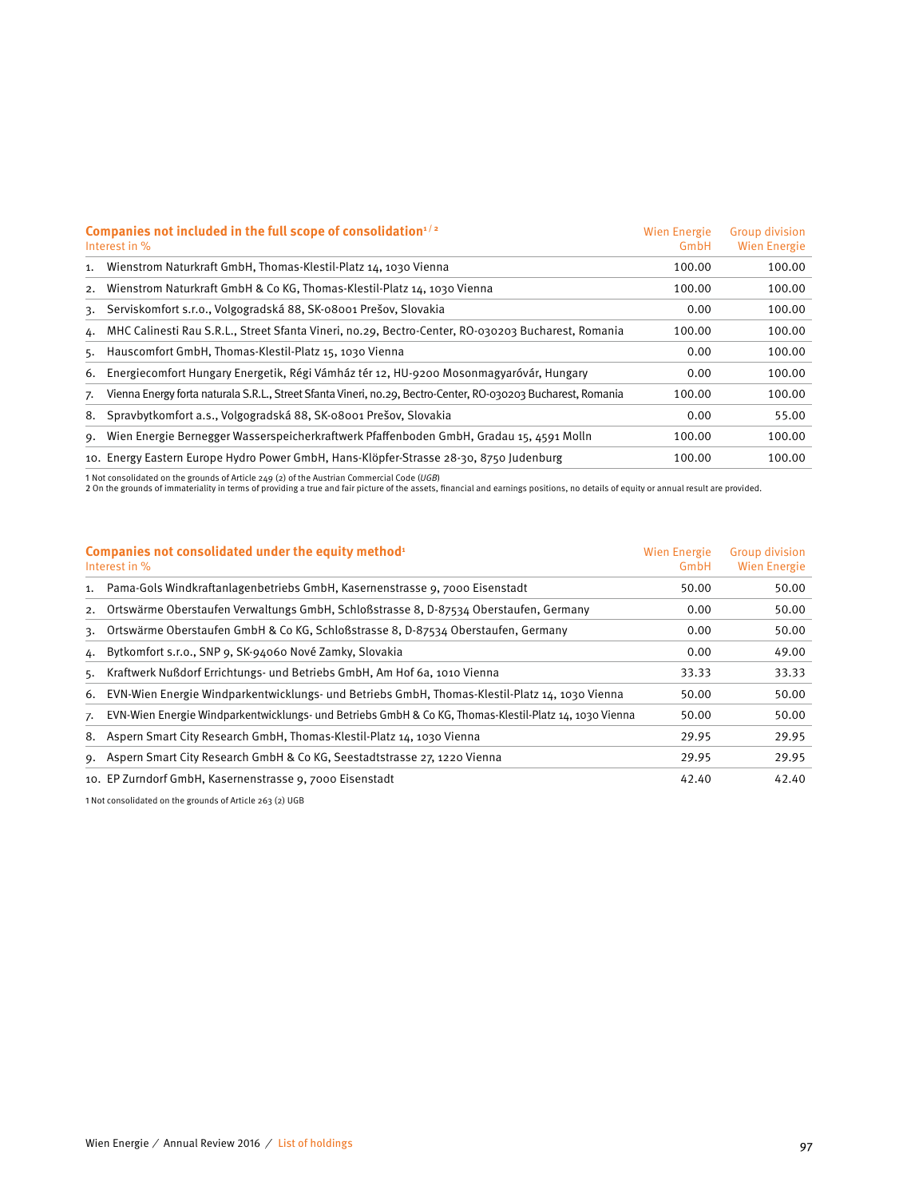| Companies not included in the full scope of consolidation $1/2$<br>Interest in % |                                                                                                               | <b>Wien Energie</b><br>GmbH | <b>Group division</b><br><b>Wien Energie</b> |
|----------------------------------------------------------------------------------|---------------------------------------------------------------------------------------------------------------|-----------------------------|----------------------------------------------|
| 1.                                                                               | Wienstrom Naturkraft GmbH, Thomas-Klestil-Platz 14, 1030 Vienna                                               | 100.00                      | 100.00                                       |
| 2.                                                                               | Wienstrom Naturkraft GmbH & Co KG, Thomas-Klestil-Platz 14, 1030 Vienna                                       | 100.00                      | 100.00                                       |
| 3.                                                                               | Serviskomfort s.r.o., Volgogradská 88, SK-o8001 Prešov, Slovakia                                              | 0.00                        | 100.00                                       |
|                                                                                  | 4. MHC Calinesti Rau S.R.L., Street Sfanta Vineri, no.29, Bectro-Center, RO-030203 Bucharest, Romania         | 100.00                      | 100.00                                       |
|                                                                                  | 5. Hauscomfort GmbH, Thomas-Klestil-Platz 15, 1030 Vienna                                                     | 0.00                        | 100.00                                       |
| 6.                                                                               | Energiecomfort Hungary Energetik, Régi Vámház tér 12, HU-9200 Mosonmagyaróvár, Hungary                        | 0.00                        | 100.00                                       |
| 7.                                                                               | Vienna Energy forta naturala S.R.L., Street Sfanta Vineri, no.29, Bectro-Center, RO-030203 Bucharest, Romania | 100.00                      | 100.00                                       |
| 8.                                                                               | Spravbytkomfort a.s., Volgogradská 88, SK-08001 Prešov, Slovakia                                              | 0.00                        | 55.00                                        |
| 9.                                                                               | Wien Energie Bernegger Wasserspeicherkraftwerk Pfaffenboden GmbH, Gradau 15, 4591 Molln                       | 100.00                      | 100.00                                       |
|                                                                                  | 10. Energy Eastern Europe Hydro Power GmbH, Hans-Klöpfer-Strasse 28-30, 8750 Judenburg                        | 100.00                      | 100.00                                       |

1 Not consolidated on the grounds of Article 249 (2) of the Austrian Commercial Code (UGB)<br>2 On the grounds of immateriality in terms of providing a true and fair picture of the assets, financial and earnings positions, no

| Companies not consolidated under the equity method <sup>1</sup><br>Interest in % |                                                                                                        | Wien Energie<br>GmbH | <b>Group division</b><br>Wien Energie |
|----------------------------------------------------------------------------------|--------------------------------------------------------------------------------------------------------|----------------------|---------------------------------------|
|                                                                                  | 1. Pama-Gols Windkraftanlagenbetriebs GmbH, Kasernenstrasse 9, 7000 Eisenstadt                         | 50.00                | 50.00                                 |
|                                                                                  | 2. Ortswärme Oberstaufen Verwaltungs GmbH, Schloßstrasse 8, D-87534 Oberstaufen, Germany               | 0.00                 | 50.00                                 |
|                                                                                  | 3. Ortswärme Oberstaufen GmbH & Co KG, Schloßstrasse 8, D-87534 Oberstaufen, Germany                   | 0.00                 | 50.00                                 |
|                                                                                  | 4. Bytkomfort s.r.o., SNP 9, SK-94060 Nové Zamky, Slovakia                                             | 0.00                 | 49.00                                 |
|                                                                                  | 5. Kraftwerk Nußdorf Errichtungs- und Betriebs GmbH, Am Hof 6a, 1010 Vienna                            | 33.33                | 33.33                                 |
|                                                                                  | 6. EVN-Wien Energie Windparkentwicklungs- und Betriebs GmbH, Thomas-Klestil-Platz 14, 1030 Vienna      | 50.00                | 50.00                                 |
| 7.                                                                               | EVN-Wien Energie Windparkentwicklungs- und Betriebs GmbH & Co KG, Thomas-Klestil-Platz 14, 1030 Vienna | 50.00                | 50.00                                 |
|                                                                                  | 8. Aspern Smart City Research GmbH, Thomas-Klestil-Platz 14, 1030 Vienna                               | 29.95                | 29.95                                 |
|                                                                                  | 9. Aspern Smart City Research GmbH & Co KG, Seestadtstrasse 27, 1220 Vienna                            | 29.95                | 29.95                                 |
|                                                                                  | 10. EP Zurndorf GmbH, Kasernenstrasse 9, 7000 Eisenstadt                                               | 42.40                | 42.40                                 |

1 Not consolidated on the grounds of Article 263 (2) UGB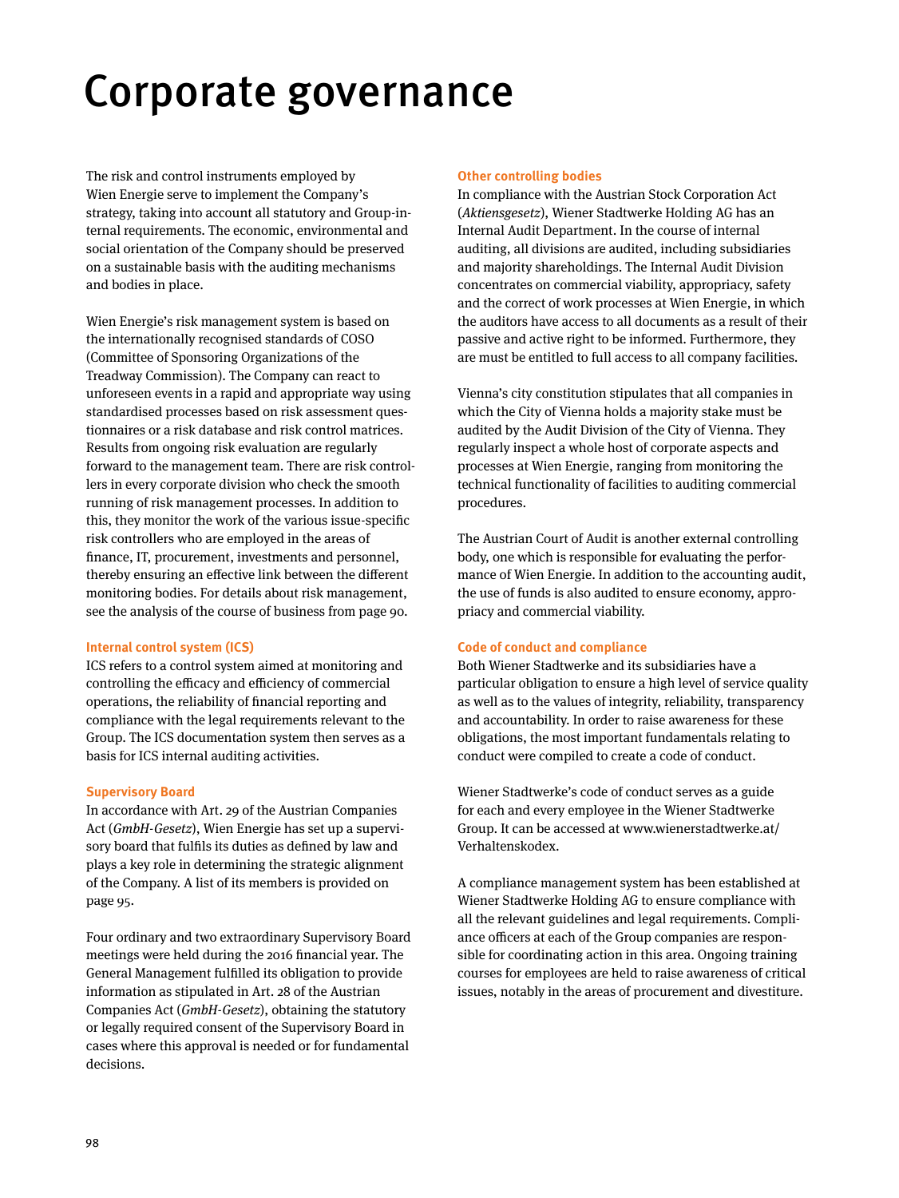# Corporate governance

The risk and control instruments employed by Wien Energie serve to implement the Company's strategy, taking into account all statutory and Group-internal requirements. The economic, environmental and social orientation of the Company should be preserved on a sustainable basis with the auditing mechanisms and bodies in place.

Wien Energie's risk management system is based on the internationally recognised standards of COSO (Committee of Sponsoring Organizations of the Treadway Commission). The Company can react to unforeseen events in a rapid and appropriate way using standardised processes based on risk assessment questionnaires or a risk database and risk control matrices. Results from ongoing risk evaluation are regularly forward to the management team. There are risk controllers in every corporate division who check the smooth running of risk management processes. In addition to this, they monitor the work of the various issue-specific risk controllers who are employed in the areas of finance, IT, procurement, investments and personnel, thereby ensuring an effective link between the different monitoring bodies. For details about risk management, see the analysis of the course of business from page 90.

#### **Internal control system (ICS)**

ICS refers to a control system aimed at monitoring and controlling the efficacy and efficiency of commercial operations, the reliability of financial reporting and compliance with the legal requirements relevant to the Group. The ICS documentation system then serves as a basis for ICS internal auditing activities.

#### **Supervisory Board**

In accordance with Art. 29 of the Austrian Companies Act (GmbH-Gesetz), Wien Energie has set up a supervisory board that fulfils its duties as defined by law and plays a key role in determining the strategic alignment of the Company. A list of its members is provided on page 95.

Four ordinary and two extraordinary Supervisory Board meetings were held during the 2016 financial year. The General Management fulfilled its obligation to provide information as stipulated in Art. 28 of the Austrian Companies Act (GmbH-Gesetz), obtaining the statutory or legally required consent of the Supervisory Board in cases where this approval is needed or for fundamental decisions.

#### **Other controlling bodies**

In compliance with the Austrian Stock Corporation Act (Aktiensgesetz), Wiener Stadtwerke Holding AG has an Internal Audit Department. In the course of internal auditing, all divisions are audited, including subsidiaries and majority shareholdings. The Internal Audit Division concentrates on commercial viability, appropriacy, safety and the correct of work processes at Wien Energie, in which the auditors have access to all documents as a result of their passive and active right to be informed. Furthermore, they are must be entitled to full access to all company facilities.

Vienna's city constitution stipulates that all companies in which the City of Vienna holds a majority stake must be audited by the Audit Division of the City of Vienna. They regularly inspect a whole host of corporate aspects and processes at Wien Energie, ranging from monitoring the technical functionality of facilities to auditing commercial procedures.

The Austrian Court of Audit is another external controlling body, one which is responsible for evaluating the performance of Wien Energie. In addition to the accounting audit, the use of funds is also audited to ensure economy, appropriacy and commercial viability.

#### **Code of conduct and compliance**

Both Wiener Stadtwerke and its subsidiaries have a particular obligation to ensure a high level of service quality as well as to the values of integrity, reliability, transparency and accountability. In order to raise awareness for these obligations, the most important fundamentals relating to conduct were compiled to create a code of conduct.

Wiener Stadtwerke's code of conduct serves as a guide for each and every employee in the Wiener Stadtwerke Group. It can be accessed at www.wienerstadtwerke.at/ Verhaltenskodex.

A compliance management system has been established at Wiener Stadtwerke Holding AG to ensure compliance with all the relevant guidelines and legal requirements. Compliance officers at each of the Group companies are responsible for coordinating action in this area. Ongoing training courses for employees are held to raise awareness of critical issues, notably in the areas of procurement and divestiture.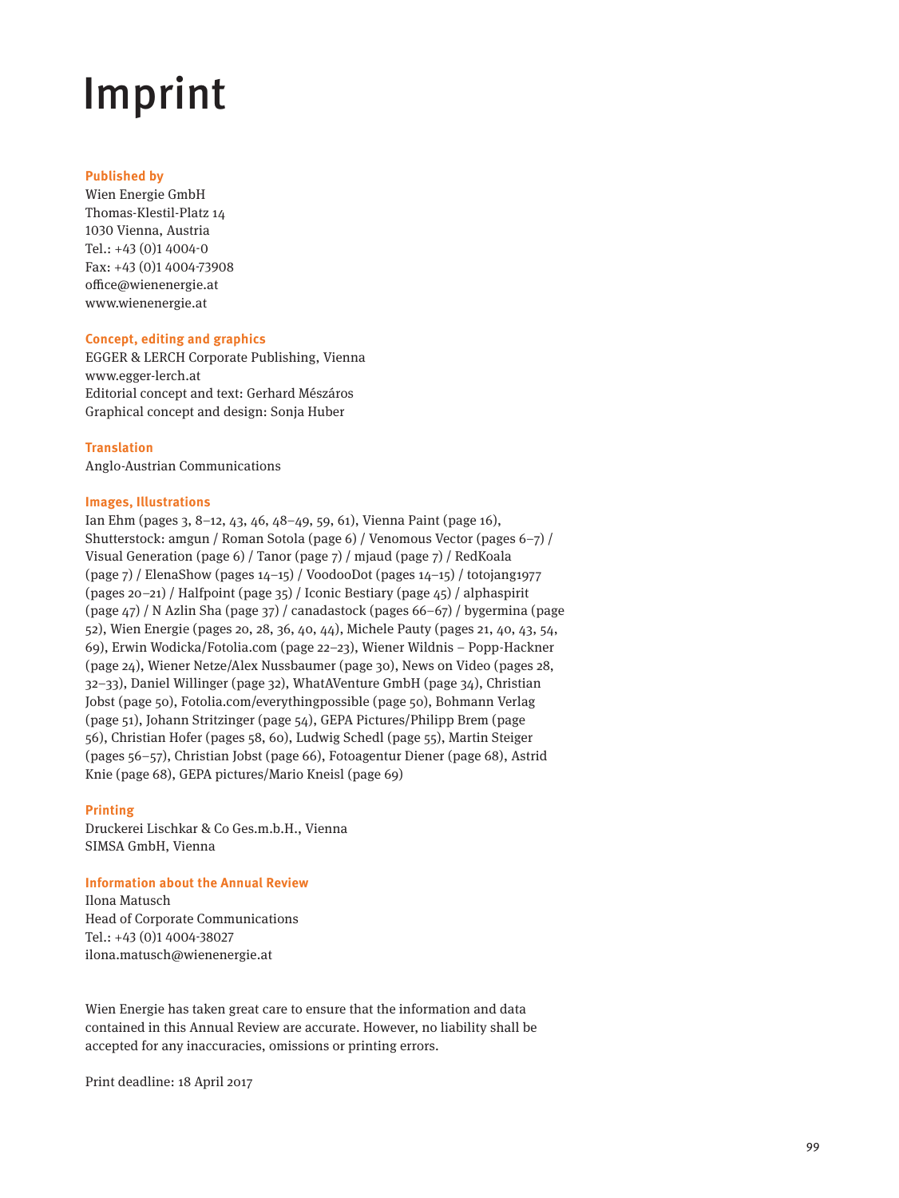# Imprint

#### **Published by**

Wien Energie GmbH Thomas-Klestil-Platz 14 1030 Vienna, Austria Tel.: +43 (0)1 4004-0 Fax: +43 (0)1 4004-73908 office@wienenergie.at www.wienenergie.at

#### **Concept, editing and graphics**

EGGER & LERCH Corporate Publishing, Vienna www.egger-lerch.at Editorial concept and text: Gerhard Mészáros Graphical concept and design: Sonja Huber

#### **Translation**

Anglo-Austrian Communications

#### **Images, Illustrations**

Ian Ehm (pages 3, 8–12, 43, 46, 48–49, 59, 61), Vienna Paint (page 16), Shutterstock: amgun / Roman Sotola (page 6) / Venomous Vector (pages 6–7) / Visual Generation (page 6) / Tanor (page 7) / mjaud (page 7) / RedKoala (page 7) / ElenaShow (pages 14–15) / VoodooDot (pages 14–15) / totojang1977 (pages 20–21) / Halfpoint (page 35) / Iconic Bestiary (page 45) / alphaspirit (page 47) / N Azlin Sha (page 37) / canadastock (pages 66–67) / bygermina (page 52), Wien Energie (pages 20, 28, 36, 40, 44), Michele Pauty (pages 21, 40, 43, 54, 69), Erwin Wodicka/Fotolia.com (page 22–23), Wiener Wildnis – Popp-Hackner (page 24), Wiener Netze/Alex Nussbaumer (page 30), News on Video (pages 28, 32–33), Daniel Willinger (page 32), WhatAVenture GmbH (page 34), Christian Jobst (page 50), Fotolia.com/everythingpossible (page 50), Bohmann Verlag (page 51), Johann Stritzinger (page 54), GEPA Pictures/Philipp Brem (page 56), Christian Hofer (pages 58, 60), Ludwig Schedl (page 55), Martin Steiger (pages 56–57), Christian Jobst (page 66), Fotoagentur Diener (page 68), Astrid Knie (page 68), GEPA pictures/Mario Kneisl (page 69)

#### **Printing**

Druckerei Lischkar & Co Ges.m.b.H., Vienna SIMSA GmbH, Vienna

#### **Information about the Annual Review**

Ilona Matusch Head of Corporate Communications Tel.: +43 (0)1 4004-38027 ilona.matusch@wienenergie.at

Wien Energie has taken great care to ensure that the information and data contained in this Annual Review are accurate. However, no liability shall be accepted for any inaccuracies, omissions or printing errors.

Print deadline: 18 April 2017